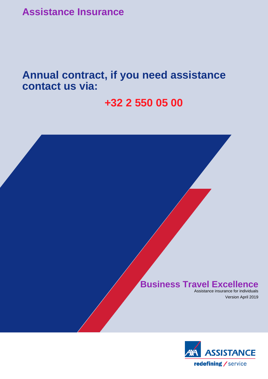**Assistance Insurance**

**Annual contract, if you need assistance contact us via:** 

# **+32 2 550 05 00**

# **Business Travel Excellence**

Assistance insurance for individuals Version April 2019

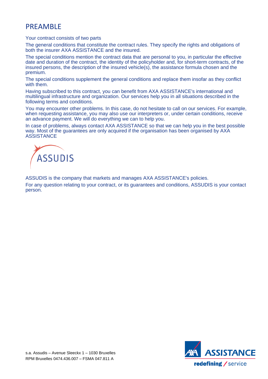# PREAMBLE

# Your contract consists of two parts

The general conditions that constitute the contract rules. They specify the rights and obligations of both the insurer AXA ASSISTANCE and the insured.

The special conditions mention the contract data that are personal to you, in particular the effective date and duration of the contract, the identity of the policyholder and, for short-term contracts, of the insured persons, the description of the insured vehicle(s), the assistance formula chosen and the premium.

The special conditions supplement the general conditions and replace them insofar as they conflict with them.

Having subscribed to this contract, you can benefit from AXA ASSISTANCE's international and multilingual infrastructure and organization. Our services help you in all situations described in the following terms and conditions.

You may encounter other problems. In this case, do not hesitate to call on our services. For example, when requesting assistance, you may also use our interpreters or, under certain conditions, receive an advance payment. We will do everything we can to help you.

In case of problems, always contact AXA ASSISTANCE so that we can help you in the best possible way. Most of the guarantees are only acquired if the organisation has been organised by AXA **ASSISTANCE** 



ASSUDIS is the company that markets and manages AXA ASSISTANCE's policies.

For any question relating to your contract, or its guarantees and conditions, ASSUDIS is your contact person.

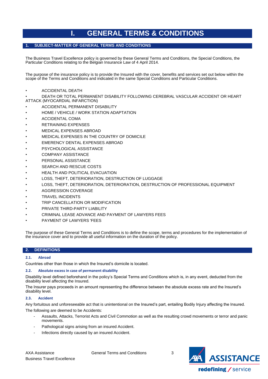# **I. GENERAL TERMS & CONDITIONS**

# <span id="page-2-1"></span><span id="page-2-0"></span>**1. SUBJECT-MATTER OF GENERAL TERMS AND CONDITIONS**

The Business Travel Excellence policy is governed by these General Terms and Conditions, the Special Conditions, the Particular Conditions relating to the Belgian Insurance Law of 4 April 2014.

The purpose of the insurance policy is to provide the Insured with the cover, benefits and services set out below within the scope of the Terms and Conditions and indicated in the same Special Conditions and Particular Conditions.

• ACCIDENTAL DEATH

• DEATH OR TOTAL PERMANENT DISABILITY FOLLOWING CEREBRAL VASCULAR ACCIDENT OR HEART ATTACK (MYOCARDIAL INFARCTION)

- ACCIDENTAL PERMANENT DISABILITY
- HOME / VEHICLE / WORK STATION ADAPTATION
- ACCIDENTAL COMA
- RETRAINING EXPENSES
- MEDICAL EXPENSES ABROAD
- MEDICAL EXPENSES IN THE COUNTRY OF DOMICILE
- EMERENCY DENTAL EXPENSES ABROAD
- PSYCHOLOGICAL ASSISTANCE
- COMPANY ASSISTANCE
- PERSONAL ASSISTANCE
- SEARCH AND RESCUE COSTS
- **HEALTH AND POLITICAL EVACUATION**
- LOSS, THEFT, DETERIORATION, DESTRUCTION OF LUGGAGE
- LOSS, THEFT, DETERIORATION, DETERIORATION, DESTRUCTION OF PROFESSIONAL EQUIPMENT
- AGGRESSION COVERAGE
- TRAVEL INCIDENTS
- TRIP CANCELLATION OR MODIFICATION
- PRIVATE THIRD-PARTY LIABILITY
- CRIMINAL LEASE ADVANCE AND PAYMENT OF LAWYERS FEES
- PAYMENT OF LAWYERS 'FEES

The purpose of these General Terms and Conditions is to define the scope, terms and procedures for the implementation of the insurance cover and to provide all useful information on the duration of the policy.

## <span id="page-2-2"></span>**2. DEFINITIONS**

## <span id="page-2-3"></span>**2.1. Abroad**

Countries other than those in which the Insured's domicile is located.

## <span id="page-2-4"></span>**2.2. Absolute excess in case of permanent disability**

Disability level defined beforehand in the policy's Special Terms and Conditions which is, in any event, deducted from the disability level affecting the Insured.

The Insurer pays proceeds in an amount representing the difference between the absolute excess rate and the Insured's disability level.

## <span id="page-2-5"></span>**2.3. Accident**

Any fortuitous and unforeseeable act that is unintentional on the Insured's part, entailing Bodily Injury affecting the Insured. The following are deemed to be Accidents:

- Assaults, Attacks, Terrorist Acts and Civil Commotion as well as the resulting crowd movements or terror and panic movements.
- Pathological signs arising from an insured Accident.
- Infections directly caused by an insured Accident.

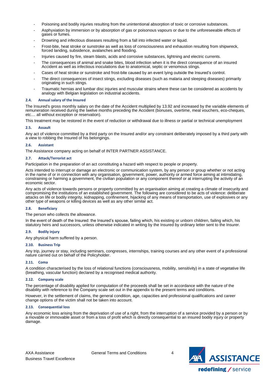- Poisoning and bodily injuries resulting from the unintentional absorption of toxic or corrosive substances.
- Asphyxiation by immersion or by absorption of gas or poisonous vapours or due to the unforeseeable effects of gases or fumes.
- Drowning and infectious diseases resulting from a fall into infected water or liquid.
- Frost-bite, heat stroke or sunstroke as well as loss of consciousness and exhaustion resulting from shipwreck, forced landing, subsidence, avalanches and flooding.
- Injuries caused by fire, steam blasts, acids and corrosive substances, lightning and electric currents.
- The consequences of animal and snake bites, blood infection when it is the direct consequence of an insured Accident as well as infectious inoculations due to anatomical, septic or venomous stings.
- Cases of heat stroke or sunstroke and frost-bite caused by an event lying outside the Insured's control.
- The direct consequences of insect stings, excluding diseases (such as malaria and sleeping diseases) primarily originating in such stings.
- Traumatic hernias and lumbar disc injuries and muscular strains where these can be considered as accidents by analogy with Belgian legislation on industrial accidents.

#### <span id="page-3-0"></span>**2.4. Annual salary of the Insured**

The Insured's gross monthly salary on the date of the Accident multiplied by 13.92 and increased by the variable elements of remuneration received during the twelve months preceding the Accident (bonuses, overtime, meal vouchers, eco-cheques, etc.... all without exception or reservation).

This treatment may be restored in the event of reduction or withdrawal due to illness or partial or technical unemployment

#### <span id="page-3-1"></span>**2.5. Assault**

Any act of violence committed by a third party on the Insured and/or any constraint deliberately imposed by a third party with a view to robbing the Insured of his belongings.

#### <span id="page-3-2"></span>**2.6. Assistant**

The Assistance company acting on behalf of INTER PARTNER ASSISTANCE.

#### <span id="page-3-3"></span>**2.7. Attack/Terrorist act**

Participation in the preparation of an act constituting a hazard with respect to people or property.

Acts intended to interrupt or damage an electronic or communication system, by any person or group whether or not acting in the name of or in connection with any organisation, government, power, authority or armed force aiming at intimidating, constraining or harming a government, the civilian population or any component thereof or at interrupting the activity of an economic sector.

Any acts of violence towards persons or property committed by an organisation aiming at creating a climate of insecurity and compromising the institutions of an established government. The following are considered to be acts of violence: deliberate attacks on life or bodily integrity, kidnapping, confinement, hijacking of any means of transportation, use of explosives or any other type of weapons or killing devices as well as any other similar act.

#### <span id="page-3-4"></span>**2.8. Beneficiary**

The person who collects the allowance.

In the event of death of the Insured: the Insured's spouse, failing which, his existing or unborn children, failing which, his statutory heirs and successors, unless otherwise indicated in writing by the Insured by ordinary letter sent to the Insurer.

#### <span id="page-3-5"></span>**2.9. Bodily injury**

Any physical harm suffered by a person.

#### <span id="page-3-6"></span>**2.10. Business Trip**

Any trip, journey or stay, including seminars, congresses, internships, training courses and any other event of a professional nature carried out on behalf of the Policyholder.

#### <span id="page-3-7"></span>**2.11. Coma**

A condition characterised by the loss of relational functions (consciousness, mobility, sensitivity) in a state of vegetative life (breathing, vascular function) declared by a recognised medical authority.

#### <span id="page-3-8"></span>**2.12. Company scale**

The percentage of disability applied for computation of the proceeds shall be set in accordance with the nature of the disability with reference to the Company scale set out in the appendix to the present terms and conditions.

However, in the settlement of claims, the general condition, age, capacities and professional qualifications and career change options of the victim shall not be taken into account.

#### <span id="page-3-9"></span>**2.13. Consequential loss**

Any economic loss arising from the deprivation of use of a right, from the interruption of a service provided by a person or by a movable or immovable asset or from a loss of profit which is directly consequential to an insured bodily injury or property damage.

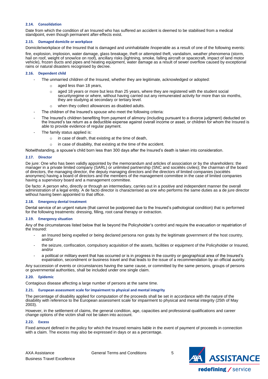## <span id="page-4-0"></span>**2.14. Consolidation**

Date from which the condition of an Insured who has suffered an accident is deemed to be stabilised from a medical standpoint, even though permanent after-effects exist.

#### <span id="page-4-1"></span>**2.15. Damaged domicile or workplace**

Domicile/workplace of the Insured that is damaged and uninhabitable /inoperable as a result of one of the following events:

fire, explosion, implosion, water damage, glass breakage, theft or attempted theft, vandalism, weather phenomena (storm, hail on roof, weight of snow/ice on roof), ancillary risks (lightning, smoke, falling aircraft or spacecraft, impact of land motor vehicle), frozen ducts and pipes and heating equipment, water damage as a result of sewer overflow caused by exceptional rains or natural disasters recognised by decree.

#### <span id="page-4-2"></span>**2.16. Dependent child**

- The unmarried children of the Insured, whether they are legitimate, acknowledged or adopted:
	- aged less than 18 years,
	- aged 18 years or more but less than 25 years, where they are registered with the student social securityregime or where, without having carried out any remunerated activity for more than six months, they are studying at secondary or tertiary level.
	- when they collect allowances as disabled adults.
- The children of the Insured's spouse who meet the following criteria:
- The Insured's children benefiting from payment of alimony (including pursuant to a divorce judgment) deducted on the Insured's tax return as a deductible expense against overall income or asset, or children for whom the Insured is able to provide evidence of regular payment.
- The family status applied is:
	- o in case of death, that existing at the time of death,
	- o in case of disability, that existing at the time of the accident.

Notwithstanding, a spouse's child born less than 300 days after the Insured's death is taken into consideration.

#### <span id="page-4-3"></span>**2.17. Director**

De jure: One who has been validly appointed by the memorandum and articles of association or by the shareholders: the manager in a private limited company (SARL) or unlimited partnership (SNC and sociétés civiles); the chairman of the board of directors, the managing director, the deputy managing directors and the directors of limited companies (sociétés anonymes) having a board of directors and the members of the management committee in the case of limited companies having a supervisory board and a management committee.

De facto: A person who, directly or through an intermediary, carries out in a positive and independent manner the overall administration of a legal entity. A de facto director is characterised as one who performs the same duties as a de jure director without having been appointed to that office.

## <span id="page-4-4"></span>**2.18. Emergency dental treatment**

Dental service of an urgent nature (that cannot be postponed due to the Insured's pathological condition) that is performed for the following treatments: dressing, filling, root canal therapy or extraction.

## <span id="page-4-5"></span>**2.19. Emergency situation**

Any of the circumstances listed below that lie beyond the Policyholder's control and require the evacuation or repatriation of the Insured:

- an Insured being expelled or being declared persona non grata by the legitimate government of the host country, and/or
- the seizure, confiscation, compulsory acquisition of the assets, facilities or equipment of the Policyholder or Insured, and/or
- a political or military event that has occurred or is in progress in the country or geographical area of the Insured's expatriation, secondment or business travel and that leads to the issue of a recommendation by an official auority.

Any succession of events or circumstances having the same cause, or committed by the same persons, groups of persons or governmental authorities, shall be included under one single claim.

## <span id="page-4-6"></span>**2.20. Epidemic**

Contagious disease affecting a large number of persons at the same time.

## <span id="page-4-7"></span>**2.21. European assessment scale for impairment to physical and mental integrity**

The percentage of disability applied for computation of the proceeds shall be set in accordance with the nature of the disability with reference to the European assessment scale for impairment to physical and mental integrity (25th of May 2003).

However, in the settlement of claims, the general condition, age, capacities and professional qualifications and career change options of the victim shall not be taken into account.

## <span id="page-4-8"></span>**2.22. Excess**

Fixed amount defined in the policy for which the Insured remains liable in the event of payment of proceeds in connection with a claim. The excess may also be expressed in days or as a percentage.

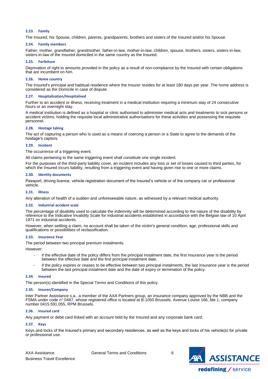## <span id="page-5-0"></span>**2.23. Family**

The Insured, his Spouse, children, parents, grandparents, brothers and sisters of the Insured and/or his Spouse.

#### <span id="page-5-1"></span>**2.24. Family members**

Father, mother, grandfather, grandmother, father-in-law, mother-in-law, children, spouse, brothers, sisters, sisters-in-law, sisters-in-law of the Insured domiciled in the same country as the Insured.

#### <span id="page-5-2"></span>**2.25. Forfeiture**

Deprivation of right to amounts provided in the policy as a result of non-compliance by the Insured with certain obligations that are incumbent on him.

#### <span id="page-5-3"></span>**2.26. Home country**

The Insured's principal and habitual residence where the Insurer resides for at least 180 days per year. The home address is considered as the Domicile in case of dispute.

#### <span id="page-5-4"></span>**2.27. Hospitalisation/Hospitalised**

Further to an accident or illness, receiving treatment in a medical institution requiring a minimum stay of 24 consecutive hours or an overnight stay.

A medical institution is defined as a hospital or clinic authorised to administer medical acts and treatments to sick persons or accident victims, holding the requisite local administrative authorisations for these activities and possessing the requisite personnel.

#### <span id="page-5-5"></span>**2.28. Hostage taking**

The act of capturing a person who is used as a means of coercing a person or a State to agree to the demands of the hostage's captors.

## <span id="page-5-6"></span>**2.29. Incident**

The occurrence of a triggering event.

All claims pertaining to the same triggering event shall constitute one single incident.

For the purposes of the third-party liability cover, an incident includes any loss or set of losses caused to third parties, for which the Insured incurs liability, resulting from a triggering event and having given rise to one or more claims.

#### <span id="page-5-7"></span>**2.30. Identity documents**

Passport, driving licence, vehicle registration document of the Insured's vehicle or of the company car or professional vehicle.

#### <span id="page-5-8"></span>**2.31. Illness**

Any alteration of health of a sudden and unforeseeable nature, as witnessed by a relevant medical authority.

#### <span id="page-5-9"></span>**2.32. Industrial accident scale**

The percentage of disability used to calculate the indemnity will be determined according to the nature of the disability by reference to the Indicative Invalidity Scale for industrial accidents established in accordance with the Belgian law of 10 April 1971 on industrial accidents.

However, when settling a claim, no account shall be taken of the victim's general condition, age, professional skills and qualifications or possibilities of reclassification.

#### <span id="page-5-10"></span>**2.33. Insurance Year**

The period between two principal premium instalments.

However:

- if the effective date of the policy differs from the principal instalment date, the first insurance year is the period between the effective date and the first principal instalment date,
- if the policy expires or ceases to be effective between two principal instalments, the last insurance year is the period between the last principal instalment date and the date of expiry or termination of the policy.

#### <span id="page-5-11"></span>**2.34. Insured**

The person(s) identified in the Special Terms and Conditions of this policy.

#### <span id="page-5-12"></span>**2.35. Insurer/Company**

Inter Partner Assistance s.a., a member of the AXA Partners group, an insurance company approved by the NBB and the FSMA under code n° 0487, whose registered office is located at B-1050 Brussels, Avenue Louise 166, bte 1, company number 0415.591.055, RPM Brussels.

## <span id="page-5-13"></span>**2.36. Insured card**

Any payment or debit card linked with an account held by the Insured and any corporate bank card.

# <span id="page-5-14"></span>**2.37. Keys**

Keys and locks of the Insured's primary and secondary residences, as well as the keys and locks of his vehicle(s) for private or professional use.

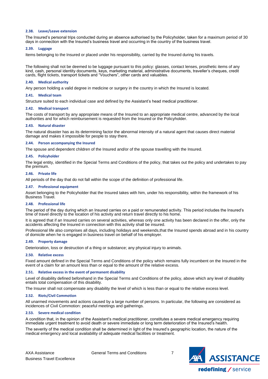## <span id="page-6-0"></span>**2.38. Leave/Leave extension**

The Insured's personal trips conducted during an absence authorised by the Policyholder, taken for a maximum period of 30 days in connection with the Insured's business travel and occurring in the country of the business travel.

#### <span id="page-6-1"></span>**2.39. Luggage**

Items belonging to the Insured or placed under his responsibility, carried by the Insured during his travels.

The following shall not be deemed to be luggage pursuant to this policy: glasses, contact lenses, prosthetic items of any kind, cash, personal identity documents, keys, marketing material, administrative documents, traveller's cheques, credit cards, flight tickets, transport tickets and "Vouchers", other cards and valuables.

#### <span id="page-6-2"></span>**2.40. Medical authority**

Any person holding a valid degree in medicine or surgery in the country in which the Insured is located.

#### <span id="page-6-3"></span>**2.41. Medical team**

Structure suited to each individual case and defined by the Assistant's head medical practitioner.

#### <span id="page-6-4"></span>**2.42. Medical transport**

The costs of transport by any appropriate means of the Insured to an appropriate medical centre, advanced by the local authorities and for which reimbursement is requested from the Insured or the Policyholder.

#### <span id="page-6-5"></span>**2.43. Natural disaster**

The natural disaster has as its determining factor the abnormal intensity of a natural agent that causes direct material damage and makes it impossible for people to stay there.

#### <span id="page-6-6"></span>**2.44. Person accompanying the Insured**

The spouse and dependent children of the Insured and/or of the spouse travelling with the Insured.

#### <span id="page-6-7"></span>**2.45. Policyholder**

The legal entity, identified in the Special Terms and Conditions of the policy, that takes out the policy and undertakes to pay the premium.

#### <span id="page-6-8"></span>**2.46. Private life**

All periods of the day that do not fall within the scope of the definition of professional life.

#### <span id="page-6-9"></span>**2.47. Professional equipment**

Asset belonging to the Policyholder that the Insured takes with him, under his responsibility, within the framework of his Business Travel.

#### <span id="page-6-10"></span>**2.48. Professional life**

The period of the day during which an Insured carries on a paid or remunerated activity. This period includes the Insured's time of travel directly to the location of his activity and return travel directly to his home.

It is agreed that if an Insured carries on several activities, whereas only one activity has been declared in the offer, only the accidents affecting the Insured in connection with this activity shall be insured.

Professional life also comprises all days, including holidays and weekends,that the Insured spends abroad and in his country of domicile when he is engaged in business travel on behalf of his employer.

#### <span id="page-6-11"></span>**2.49. Property damage**

Deterioration, loss or destruction of a thing or substance; any physical injury to animals.

#### <span id="page-6-12"></span>**2.50. Relative excess**

Fixed amount defined in the Special Terms and Conditions of the policy which remains fully incumbent on the Insured in the event of a claim for an amount less than or equal to the amount of the relative excess.

## <span id="page-6-13"></span>**2.51. Relative excess in the event of permanent disability**

Level of disability defined beforehand in the Special Terms and Conditions of the policy, above which any level of disability entails total compensation of this disability.

The Insurer shall not compensate any disability the level of which is less than or equal to the relative excess level.

#### <span id="page-6-14"></span>**2.52. Riots/Civil Commotion**

All unarmed movements and actions caused by a large number of persons. In particular, the following are considered as incidences of Civil Commotion: peaceful meetings and gatherings.

#### <span id="page-6-15"></span>**2.53. Severe medical condition**

A condition that, in the opinion of the Assistant's medical practitioner, constitutes a severe medical emergency requiring immediate urgent treatment to avoid death or severe immediate or long term deterioration of the Insured's health.

The severity of the medical condition shall be determined in light of the Insured's geographic location, the nature of the medical emergency and local availability of adequate medical facilities or treatment.

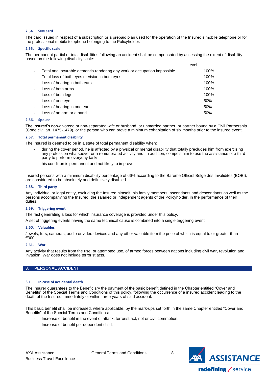## <span id="page-7-0"></span>**2.54. SIM card**

The card issued in respect of a subscription or a prepaid plan used for the operation of the Insured's mobile telephone or for the professional mobile telephone belonging to the Policyholder.

## <span id="page-7-1"></span>**2.55. Specific scale**

The permanent partial or total disabilities following an accident shall be compensated by assessing the extent of disability based on the following disability scale:

|                          |                                                                          | Level |      |
|--------------------------|--------------------------------------------------------------------------|-------|------|
| $\overline{\phantom{a}}$ | Total and incurable dementia rendering any work or occupation impossible |       | 100% |
| $\overline{\phantom{a}}$ | Total loss of both eyes or vision in both eyes                           |       | 100% |
| $\blacksquare$           | Loss of hearing in both ears                                             |       | 100% |
| $\overline{\phantom{a}}$ | Loss of both arms                                                        |       | 100% |
| $\blacksquare$           | Loss of both legs                                                        |       | 100% |
| $\overline{\phantom{a}}$ | Loss of one eve                                                          |       | 50%  |
| $\overline{\phantom{a}}$ | Loss of hearing in one ear                                               |       | 50%  |
| -                        | Loss of an arm or a hand                                                 |       | 50%  |

#### <span id="page-7-2"></span>**2.56. Spouse**

The Insured's non-divorced or non-separated wife or husband, or unmarried partner, or partner bound by a Civil Partnership (Code civil art. 1475-1479), or the person who can prove a minimum cohabitation of six months prior to the insured event.

#### <span id="page-7-3"></span>**2.57. Total permanent disability**

The Insured is deemed to be in a state of total permanent disability when:

- during the cover period, he is affected by a physical or mental disability that totally precludes him from exercising any profession whatsoever or a remunerated activity and, in addition, compels him to use the assistance of a third party to perform everyday tasks,
- his condition is permanent and not likely to improve.

Insured persons with a minimum disability percentage of 66% according to the Barème Officiel Belge des Invalidités (BOBI), are considered to be absolutely and definitively disabled.

#### <span id="page-7-4"></span>**2.58. Third party**

Any individual or legal entity, excluding the Insured himself, his family members, ascendants and descendants as well as the persons accompanying the Insured, the salaried or independent agents of the Policyholder, in the performance of their duties.

#### <span id="page-7-5"></span>**2.59. Triggering event**

The fact generating a loss for which insurance coverage is provided under this policy.

A set of triggering events having the same technical cause is combined into a single triggering event.

## <span id="page-7-6"></span>**2.60. Valuables**

Jewels, furs, cameras, audio or video devices and any other valuable item the price of which is equal to or greater than €300.

## <span id="page-7-7"></span>**2.61. War**

Any activity that results from the use, or attempted use, of armed forces between nations including civil war, revolution and invasion. War does not include terrorist acts.

## <span id="page-7-8"></span>**3. PERSONAL ACCIDENT**

## <span id="page-7-9"></span>**3.1. In case of accidental death**

The Insurer guarantees to the Beneficiary the payment of the basic benefit defined in the Chapter entitled "Cover and Benefits" of the Special Terms and Conditions of this policy, following the occurrence of a insured accident leading to the death of the Insured immediately or within three years of said accident.

This basic benefit shall be increased, where applicable, by the mark-ups set forth in the same Chapter entitled "Cover and Benefits" of the Special Terms and Conditions:

- Increase of benefit in the event of attack, terrorist act, riot or civil commotion.
- Increase of benefit per dependent child.

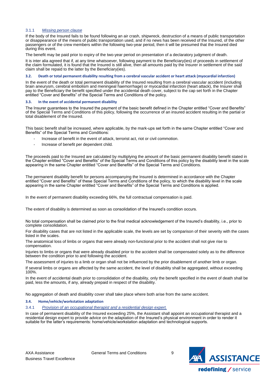## 3.1.1 *Missing person clause*

If the body of the Insured fails to be found following an air crash, shipwreck, destruction of a means of public transportation or disappearance of the means of public transportation used, and if no news has been received of the Insured, of the other passengers or of the crew members within the following two-year period, then it will be presumed that the Insured died during this event.

The benefit may be paid prior to expiry of the two-year period on presentation of a declaratory judgment of death.

It is inter alia agreed that if, at any time whatsoever, following payment to the Beneficiary(ies) of proceeds in settlement of the claim formulated, it is found that the Insured is still alive, then all amounts paid by the Insurer in settlement of the said claim shall be repaid to the latter by the Beneficiary(ies).

#### <span id="page-8-0"></span>3.2. Death or total permanent disability resulting from a cerebral vascular accident or heart attack (myocardial infarction)

In the event of the death or total permanent disability of the Insured resulting from a cerebral vascular accident (including brain aneurysm, cerebral embolism and meningeal haemorrhage) or myocardial infarction (heart attack), the Insurer shall pay to the Beneficiary the benefit specified under the accidental death cover, subject to the cap set forth in the Chapter entitled "Cover and Benefits" of the Special Terms and Conditions of the policy.

#### <span id="page-8-1"></span>**3.3. In the event of accidental permanent disability**

The Insurer guarantees to the Insured the payment of the basic benefit defined in the Chapter entitled "Cover and Benefits" of the Special Terms and Conditions of this policy, following the occurrence of an insured accident resulting in the partial or total disablement of the Insured.

This basic benefit shall be increased, where applicable, by the mark-ups set forth in the same Chapter entitled "Cover and Benefits" of the Special Terms and Conditions:

- Increase of benefit in the event of attack, terrorist act, riot or civil commotion.
- Increase of benefit per dependent child.

The proceeds paid to the Insured are calculated by multiplying the amount of the basic permanent disability benefit stated in the Chapter entitled "Cover and Benefits" of the Special Terms and Conditions of this policy by the disability level in the scale appearing in the same Chapter entitled "Cover and Benefits" of the Special Terms and Conditions.

The permanent disability benefit for persons accompanying the Insured is determined in accordance with the Chapter entitled "Cover and Benefits" of these Special Terms and Conditions of the policy, to which the disability level in the scale appearing in the same Chapter entitled "Cover and Benefits" of the Special Terms and Conditions is applied.

In the event of permanent disability exceeding 66%, the full contractual compensation is paid.

The extent of disability is determined as soon as consolidation of the Insured's condition occurs.

No total compensation shall be claimed prior to the final medical acknowledgement of the Insured's disability, i.e., prior to complete consolidation.

For disability cases that are not listed in the applicable scale, the levels are set by comparison of their severity with the cases listed in the scales.

The anatomical loss of limbs or organs that were already non-functional prior to the accident shall not give rise to compensation.

Injuries to limbs or organs that were already disabled prior to the accident shall be compensated solely as to the difference between the condition prior to and following the accident.

The assessment of injuries to a limb or organ shall not be influenced by the prior disablement of another limb or organ.

If several limbs or organs are affected by the same accident, the level of disability shall be aggregated, without exceeding 100%.

In the event of accidental death prior to consolidation of the disability, only the benefit specified in the event of death shall be paid, less the amounts, if any, already prepaid in respect of the disability.

No aggregation of death and disability cover shall take place where both arise from the same accident.

## <span id="page-8-2"></span>**3.4. Home/vehicle/workstation adaptation**

3.4.1 *Provision of an occupational therapist and a residential design expert.*

In case of permanent disability of the Insured exceeding 25%, the Assistant shall appoint an occupational therapist and a residential design expert to provide advice on the adaptation of the Insured's physical environment in order to render it suitable for the latter's requirements: home/vehicle/workstation adaptation and technological supports.

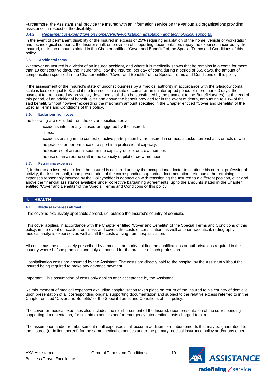Furthermore, the Assistant shall provide the Insured with an information service on the various aid organisations providing assistance in respect of the disability.

## 3.4.2 *Repayment of expenditure on home/vehicle/workstation adaptation and technological supports.*

In the event of permanent disability of the Insured in excess of 25% requiring adaptation of the home, vehicle or workstation and technological supports, the Insurer shall, on provision of supporting documentation, repay the expenses incurred by the Insured, up to the amounts stated in the Chapter entitled "Cover and Benefits" of the Special Terms and Conditions of this policy.

## <span id="page-9-0"></span>**3.5. Accidental coma**

Whenever an Insured is a victim of an insured accident, and where it is medically shown that he remains in a coma for more than 10 consecutive days, the Insurer shall pay the Insured, per day of coma during a period of 365 days, the amount of compensation specified in the Chapter entitled "Cover and Benefits" of the Special Terms and Conditions of this policy.

If the assessment of the Insured's state of unconsciousness by a medical authority in accordance with the Glasgow coma scale is less or equal to 8, and if the Insured is in a state of coma for an uninterrupted period of more than 60 days, the payment to the Insured as previously described shall then be substituted by the payment to the Beneficiary(ies), at the end of this period, of an additional benefit, over and above the benefit provided for in the event of death, amounting to 10% of the said benefit, without however exceeding the maximum amount specified in the Chapter entitled "Cover and Benefits" of the Special Terms and Conditions of this policy.

#### <span id="page-9-1"></span>**3.6. Exclusions from cover**

the following are excluded from the cover specified above:

- accidents intentionally caused or triggered by the insured.
- illness.
- accidents arising in the context of active participation by the insured in crimes, attacks, terrorist acts or acts of war.
- the practice or performance of a sport in a professional capacity.
- the exercise of an aerial sport in the capacity of pilot or crew member.
- the use of an airborne craft in the capacity of pilot or crew member.

#### <span id="page-9-2"></span>**3.7. Retraining expenses**

If, further to an insured accident, the Insured is declared unfit by the occupational doctor to continue his current professional activity, the Insurer shall, upon presentation of the corresponding supporting documentation, reimburse the retraining expenses reasonably incurred by the Policyholder in connection with reassigning the Insured to a different position, over and above the financial assistance available under collective bargaining agreements, up to the amounts stated in the Chapter entitled "Cover and Benefits" of the Special Terms and Conditions of this policy.

## <span id="page-9-3"></span>**4. HEALTH**

#### <span id="page-9-4"></span>**4.1. Medical expenses abroad**

This cover is exclusively applicable abroad, i.e. outside the Insured's country of domicile.

This cover applies, in accordance with the Chapter entitled "Cover and Benefits" of the Special Terms and Conditions of this policy, in the event of accident or illness and covers the costs of consultation, as well as pharmaceutical, radiography, medical analysis expenses as well as all the costs arising from hospitalisation.

All costs must be exclusively prescribed by a medical authority holding the qualifications or authorisations required in the country where he/she practices and duly authorised for the practice of such profession.

Hospitalisation costs are assumed by the Assistant. The costs are directly paid to the hospital by the Assistant without the Insured being required to make any advance payment.

Important: This assumption of costs only applies after acceptance by the Assistant.

Reimbursement of medical expenses excluding hospitalisation takes place on return of the Insured to his country of domicile, upon presentation of all corresponding original supporting documentation and subject to the relative excess referred to in the Chapter entitled "Cover and Benefits" of the Special Terms and Conditions of this policy.

The cover for medical expenses also includes the reimbursement of the Insured, upon presentation of the corresponding supporting documentation, for first aid expenses and/or emergency intervention costs charged to him.

The assumption and/or reimbursement of all expenses shall occur in addition to reimbursements that may be guaranteed to the Insured (or in lieu thereof) for the same medical expenses under the primary medical insurance policy and/or any other

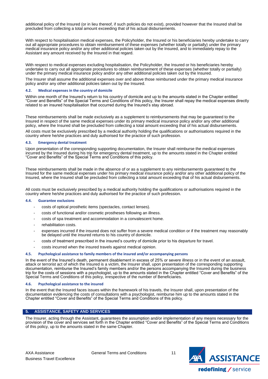additional policy of the Insured (or in lieu thereof, if such policies do not exist), provided however that the Insured shall be precluded from collecting a total amount exceeding that of his actual disbursements.

With respect to hospitalisation medical expenses, the Policyholder, the Insured or his beneficiaries hereby undertake to carry out all appropriate procedures to obtain reimbursement of these expenses (whether totally or partially) under the primary medical insurance policy and/or any other additional policies taken out by the Insured, and to immediately repay to the Assistant any amount received by the Insured in that regard.

With respect to medical expenses excluding hospitalisation, the Policyholder, the Insured or his beneficiaries hereby undertake to carry out all appropriate procedures to obtain reimbursement of these expenses (whether totally or partially) under the primary medical insurance policy and/or any other additional policies taken out by the Insured.

The Insurer shall assume the additional expenses over and above those reimbursed under the primary medical insurance policy and/or any other additional policies taken out by the Insured.

#### <span id="page-10-0"></span>**4.2. Medical expenses in the country of domicile**

Within one month of the Insured's return to his country of domicile and up to the amounts stated in the Chapter entitled "Cover and Benefits" of the Special Terms and Conditions of this policy, the Insurer shall repay the medical expenses directly related to an insured hospitalisation that occurred during the Insured's stay abroad.

These reimbursements shall be made exclusively as a supplement to reimbursements that may be guaranteed to the Insured in respect of the same medical expenses under its primary medical insurance policy and/or any other additional policy, where the Insured shall be precluded from collecting a total amount exceeding that of his actual disbursements.

All costs must be exclusively prescribed by a medical authority holding the qualifications or authorisations required in the country where he/she practices and duly authorised for the practice of such profession.

#### <span id="page-10-1"></span>**4.3. Emergency dental treatment**

Upon presentation of the corresponding supporting documentation, the Insurer shall reimburse the medical expenses incurred by the Insured during his trip for emergency dental treatment, up to the amounts stated in the Chapter entitled "Cover and Benefits" of the Special Terms and Conditions of this policy.

These reimbursements shall be made in the absence of or as a supplement to any reimbursements guaranteed to the Insured for the same medical expenses under his primary medical insurance policy and/or any other additional policy of the Insured, where the Insured shall be precluded from collecting a total amount exceeding that of his actual disbursements.

All costs must be exclusively prescribed by a medical authority holding the qualifications or authorisations required in the country where he/she practices and duly authorised for the practice of such profession.

#### <span id="page-10-2"></span>**4.4. Guarantee exclusions**

- costs of optical prosthetic items (spectacles, contact lenses).
- costs of functional and/or cosmetic prostheses following an illness.
- costs of spa treatment and accommodation in a convalescent home.
- rehabilitation costs.
- expenses incurred if the insured does not suffer from a severe medical condition or if the treatment may reasonably be delayed until the insured returns to his country of domicile.
- costs of treatment prescribed in the insured's country of domicile prior to his departure for travel.
- costs incurred when the insured travels against medical opinion.

#### <span id="page-10-3"></span>**4.5. Psychological assistance to family members of the insured and/or accompanying persons**

In the event of the Insured's death, permanent disablement in excess of 25% or severe illness or in the event of an assault, attack or terrorist act of which the Insured is a victim, the Insurer shall, upon presentation of the corresponding supporting documentation, reimburse the Insured's family members and/or the persons accompanying the Insured during the business trip for the costs of sessions with a psychologist, up to the amounts stated in the Chapter entitled "Cover and Benefits" of the Special Terms and Conditions of this policy, irrespective of the number of Beneficiaries.

#### <span id="page-10-4"></span>**4.6. Psychological assistance to the insured**

In the event that the Insured faces issues within the framework of his travels, the Insurer shall, upon presentation of the documentation evidencing the costs of consultations with a psychologist, reimburse him up to the amounts stated in the Chapter entitled "Cover and Benefits" of the Special Terms and Conditions of this policy.

## <span id="page-10-5"></span>**5. ASSISTANCE, SAFETY AND SERVICES**

The Insurer, acting through the Assistant, guarantees the assumption and/or implementation of any means necessary for the provision of the cover and services set forth in the Chapter entitled "Cover and Benefits" of the Special Terms and Conditions of this policy, up to the amounts stated in the same Chapter.

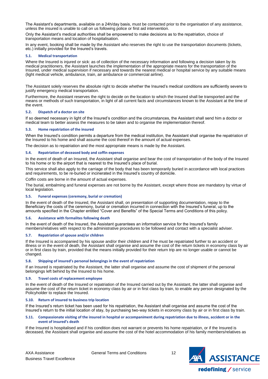The Assistant's departments, available on a 24h/day basis, must be contacted prior to the organisation of any assistance, unless the insured is unable to call on us following police or first aid intervention.

Only the Assistant's medical authorities shall be empowered to make decisions as to the repatriation, choice of transportation means and location of hospitalisation.

In any event, booking shall be made by the Assistant who reserves the right to use the transportation documents (tickets, etc.) initially provided for the Insured's travels.

## <span id="page-11-0"></span>**5.1. Medical transportation**

Where the Insured is injured or sick: as of collection of the necessary information and following a decision taken by its medical practitioners, the Assistant launches the implementation of the appropriate means for the transportation of the Insured, under medical supervision if necessary and towards the nearest medical or hospital service by any suitable means (light medical vehicle, ambulance, train, air ambulance or commercial airline).

The Assistant solely reserves the absolute right to decide whether the Insured's medical conditions are sufficiently severe to justify emergency medical transportation.

Furthermore, the Assistant reserves the right to decide on the location to which the Insured shall be transported and the means or methods of such transportation, in light of all current facts and circumstances known to the Assistant at the time of the event.

## <span id="page-11-1"></span>**5.2. Dispatch of a doctor on site**

If so deemed necessary in light of the Insured's condition and the circumstances, the Assistant shall send him a doctor or medical team to better assess the measures to be taken and to organise the implementation thereof.

## <span id="page-11-2"></span>**5.3. Home repatriation of the insured**

When the Insured's condition permits a departure from the medical institution, the Assistant shall organise the repatriation of the Insured to his home and shall assume the cost thereof in the amount of actual expenses.

The decision as to repatriation and the most appropriate means is made by the Assistant.

## <span id="page-11-3"></span>**5.4. Repatriation of deceased body and coffin expenses**

In the event of death of an Insured, the Assistant shall organise and bear the cost of transportation of the body of the Insured to his home or to the airport that is nearest to the Insured's place of burial.

This service shall also apply to the carriage of the body that has been temporarily buried in accordance with local practices and requirements, to be re-buried or incinerated in the Insured's country of domicile.

sts are borne in the amount of actual expenses.

The burial, embalming and funeral expenses are not borne by the Assistant, except where those are mandatory by virtue of local legislation.

## <span id="page-11-4"></span>**5.5. Funeral expenses (ceremony, burial or cremation)**

In the event of death of the Insured, the Assistant shall, on presentation of supporting documentation, repay to the Beneficiary the costs of the ceremony, burial or cremation incurred in connection with the Insured's funeral, up to the amounts specified in the Chapter entitled "Cover and Benefits" of the Special Terms and Conditions of this policy.

## <span id="page-11-5"></span>**5.6. Assistance with formalites following death**

In the event of death of the Insured, the Assistant guarantees an information service for the Insured's family members/relatives with respect to the administrative procedures to be followed and contact with a specialist adviser.

#### <span id="page-11-6"></span>**5.7. Repatriation of spouse and/or children**

If the Insured is accompanied by his spouse and/or their children and if he must be repatriated further to an accident or illness or in the event of death, the Assistant shall organise and assume the cost of the return tickets in economy class by air or in first class by train, provided that the means initially provided for their return trip are no longer usable or cannot be changed.

#### <span id="page-11-7"></span>**5.8. Shipping of insured's personal belongings in the event of repatriation**

If an Insured is repatriated by the Assistant, the latter shall organise and assume the cost of shipment of the personal belongings left behind by the Insured to his home.

## <span id="page-11-8"></span>**5.9. Travel costs of replacement employee**

In the event of death of the Insured or repatriation of the Insured carried out by the Assistant, the latter shall organise and assume the cost of the return ticket in economy class by air or in first class by train, to enable any person designated by the Policyholder to replace the Insured.

## <span id="page-11-9"></span>**5.10. Return of insured to business trip location**

If the Insured's return ticket has been used for his repatriation, the Assistant shall organise and assume the cost of the Insured's return to the initial location of stay, by purchasing two-way tickets in economy class by air or in first class by train.

#### <span id="page-11-10"></span>5.11. Compassionate visiting of the insured in hospital or accompaniment during repatriation due to illness, accident or in the **event of insured's death**

If the Insured is hospitalised and if his condition does not warrant or prevents his home repatriation, or if the Insured is deceased, the Assistant shall organise and assume the cost of the hotel accommodation of his family members/relatives as

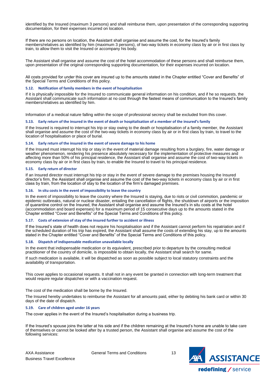identified by the Insured (maximum 3 persons) and shall reimburse them, upon presentation of the corresponding supporting documentation, for their expenses incurred on location.

If there are no persons on location, the Assistant shall organise and assume the cost, for the Insured's family members/relatives as identified by him (maximum 3 persons), of two-way tickets in economy class by air or in first class by train, to allow them to visit the Insured or accompany his body.

The Assistant shall organise and assume the cost of the hotel accommodation of these persons and shall reimburse them, upon presentation of the original corresponding supporting documentation, for their expenses incurred on location.

All costs provided for under this cover are insured up to the amounts stated in the Chapter entitled "Cover and Benefits" of the Special Terms and Conditions of this policy.

#### <span id="page-12-0"></span>**5.12. Notification of family members in the event of hospitalisation**

If it is physically impossible for the Insured to communicate general information on his condition, and if he so requests, the Assistant shall communicate such information at no cost through the fastest means of communication to the Insured's family members/relatives as identified by him.

Information of a medical nature falling within the scope of professional secrecy shall be excluded from this cover.

#### <span id="page-12-1"></span>5.13. Early return of the insured in the event of death or hospitalisation of a member of the insured's family

If the Insured is required to interrupt his trip or stay owing to the death or hospitalisation of a family member, the Assistant shall organise and assume the cost of the two-way tickets in economy class by air or in first class by train, to travel to the location of hospitalisation or place of burial.

#### <span id="page-12-2"></span>**5.14. Early return of the insured in the event of severe damage to his home**

If the Insured must interrupt his trip or stay in the event of material damage resulting from a burglary, fire, water damage or weather phenomenon, rendering his presence absolutely necessary for the implementation of protective measures and affecting more than 50% of his principal residence, the Assistant shall organise and assume the cost of two-way tickets in economy class by air or in first class by train, to enable the Insured to travel to his principal residence.

#### <span id="page-12-3"></span>**5.15. Early return of director**

If an Insured director must interrupt his trip or stay in the event of severe damage to the premises housing the Insured director's firm, the Assistant shall organise and assume the cost of the two-way tickets in economy class by air or in first class by train, from the location of stay to the location of the firm's damaged premises.

#### <span id="page-12-4"></span>**5.16. In situ costs in the event of impossibility to leave the country**

In the event of impossibility to leave the country where the Insured is staying, due to riots or civil commotion, pandemic or epidemic outbreaks, natural or nuclear disaster, entailing the cancellation of flights, the shutdown of airports or the imposition of quarantine control on the Insured, the Assistant shall organise and assume the Insured's in situ costs at the hotel (accommodation and board expenses) for a maximum period of 15 consecutive days up to the amounts stated in the Chapter entitled "Cover and Benefits" of the Special Terms and Conditions of this policy.

#### <span id="page-12-5"></span>**5.17. Costs of extension of stay of the insured further to accident or illness**

If the Insured's state of health does not require his hospitalisation and if the Assistant cannot perform his repatriation and if the scheduled duration of his trip has expired, the Assistant shall assume the costs of extending his stay, up to the amounts stated in the Chapter entitled "Cover and Benefits" of the Special Terms and Conditions of this policy.

#### <span id="page-12-6"></span>**5.18. Dispatch of indispensable medication unavailable locally**

In the event that indispensable medication or its equivalent, prescribed prior to departure by the consulting medical practitioner of the country of domicile, is impossible to obtain locally, the Assistant shall search for same.

If such medication is available, it will be dispatched as soon as possible subject to local statutory constraints and the availability of transportation.

This cover applies to occasional requests. It shall not in any event be granted in connection with long-term treatment that would require regular dispatches or with a vaccination request.

The cost of the medication shall be borne by the Insured.

The Insured hereby undertakes to reimburse the Assistant for all amounts paid, either by debiting his bank card or within 30 days of the date of dispatch.

## <span id="page-12-7"></span>**5.19. Care of children aged under 16 years**

The cover applies in the event of the Insured's hospitalisation during a business trip.

If the Insured's spouse joins the latter at his side and if the children remaining at the Insured's home are unable to take care of themselves or cannot be looked after by a trusted person, the Assistant shall organise and assume the cost of the following services:

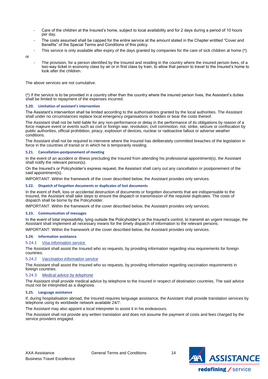- Care of the children at the Insured's home, subject to local availability and for 2 days during a period of 10 hours per day.
- The costs assumed shall be capped for the entire service at the amount stated in the Chapter entitled "Cover and Benefits" of the Special Terms and Conditions of this policy.
- This service is only available after expiry of the days granted by companies for the care of sick children at home (\*).

or

The provision, for a person identified by the Insured and residing in the country where the insured person lives, of a two-way ticket in economy class by air or in first class by train, to allow that person to travel to the Insured's home to look after the children.

The above services are not cumulative.

(\*) If the service is to be provided in a country other than the country where the insured person lives, the Assistant's duties shall be limited to repayment of the expenses incurred.

## <span id="page-13-0"></span>**5.20. Limitation of assistant's intervention**

The Assistant's intervention shall be limited according to the authorisations granted by the local authorities. The Assistant shall under no circumstances replace local emergency organisations or bodies or bear the costs thereof.

The Assistant shall not be held liable for any non-performance or delay in the performance of its obligations by reason of a force majeure event or events such as civil or foreign war, revolution, civil commotion, riot, strike, seizure or confiscation by public authorities, official prohibition, piracy, explosion of devices, nuclear or radioactive fallout or adverse weather conditions.

The Assistant shall not be required to intervene where the Insured has deliberately committed breaches of the legislation in force in the countries of transit or in which he is temporarily residing.

## <span id="page-13-1"></span>**5.21. Cancellation-postponement of meeting**

In the event of an accident or illness precluding the Insured from attending his professional appointment(s), the Assistant shall notify the relevant person(s).

On the Insured's or Policyholder's express request, the Assistant shall carry out any cancellation or postponement of the said appointment(s).

IMPORTANT: Within the framework of the cover described below, the Assistant provides only services.

## <span id="page-13-2"></span>**5.22. Dispatch of forgotten documents or duplicates of lost documents**

In the event of theft, loss or accidental destruction of documents or forgotten documents that are indispensable to the Insured, the Assistant shall take steps to ensure the dispatch or transmission of the requisite duplicates. The costs of dispatch shall be borne by the Policyholder.

IMPORTANT: Within the framework of the cover described below, the Assistant provides only services.

## <span id="page-13-3"></span>**5.23. Communication of messages**

In the event of total impossibility, lying outside the Policyholder's or the Insured's control, to transmit an urgent message, the Assistant shall implement all necessary means for the timely dispatch of information to the relevant persons.

IMPORTANT: Within the framework of the cover described below, the Assistant provides only services.

## <span id="page-13-4"></span>**5.24. Information assistance**

## 5.24.1 *Visa information service*

The Assistant shall assist the Insured who so requests, by providing information regarding visa requirements for foreign countries.

## 5.24.2 *Vaccination information service*

The Assistant shall assist the Insured who so requests, by providing information regarding vaccination requirements in foreign countries.

## 5.24.3 *Medical advice by telephone*

The Assistant shall provide medical advice by telephone to the Insured in respect of destination countries. The said advice must not be interpreted as a diagnosis.

## <span id="page-13-5"></span>**5.25. Language assistance**

If, during hospitalisation abroad, the Insured requires language assistance, the Assistant shall provide translation services by telephone using its worldwide network available 24/7.

The Assistant may also appoint a local interpreter to assist it in his endeavours.

The Assistant shall not provide any written translation and does not assume the payment of costs and fees charged by the service providers engaged.

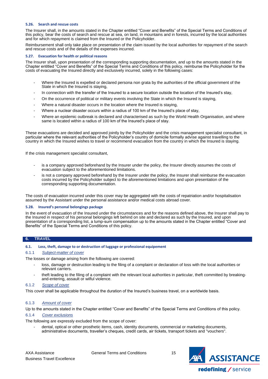## <span id="page-14-0"></span>**5.26. Search and rescue costs**

The Insurer shall, in the amounts stated in the Chapter entitled "Cover and Benefits" of the Special Terms and Conditions of this policy, bear the costs of search and rescue at sea, on land, in mountains and in forests, incurred by the local authorities and for which repayment is claimed from the Insured or the Policyholder.

Reimbursement shall only take place on presentation of the claim issued by the local authorities for repayment of the search and rescue costs and of the details of the expenses incurred.

## <span id="page-14-1"></span>**5.27. Evacuation for health or political reasons**

The Insurer shall, upon presentation of the corresponding supporting documentation, and up to the amounts stated in the Chapter entitled "Cover and Benefits" of the Special Terms and Conditions of this policy, reimburse the Policyholder for the costs of evacuating the Insured directly and exclusively incurred, solely in the following cases:

- Where the Insured is expelled or declared persona non grata by the authorities of the official government of the State in which the Insured is staying,
- In connection with the transfer of the Insured to a secure location outside the location of the Insured's stay,
- On the occurrence of political or military events involving the State in which the Insured is staying,
- Where a natural disaster occurs in the location where the Insured is staying,
- Where a nuclear disaster occurs within a radius of 100 km of the Insured's place of stay,
- Where an epidemic outbreak is declared and characterised as such by the World Health Organisation, and where same is located within a radius of 100 km of the Insured's place of stay.

These evacuations are decided and approved jointly by the Policyholder and the crisis management specialist consultant, in particular where the relevant authorities of the Policyholder's country of domicile formally advise against travelling to the country in which the Insured wishes to travel or recommend evacuation from the country in which the Insured is staying.

If the crisis management specialist consultant,

- is a company approved beforehand by the Insurer under the policy, the Insurer directly assumes the costs of evacuation subject to the aforementioned limitations.
- is not a company approved beforehand by the Insurer under the policy, the Insurer shall reimburse the evacuation costs incurred by the Policyholder subject to the aforementioned limitations and upon presentation of the corresponding supporting documentation.

The costs of evacuation incurred under this cover may be aggregated with the costs of repatriation and/or hospitalisation assumed by the Assistant under the personal assistance and/or medical costs abroad cover.

#### <span id="page-14-2"></span>**5.28. Insured's personal belongings package**

In the event of evacuation of the Insured under the circumstances and for the reasons defined above, the Insurer shall pay to the Insured in respect of his personal belongings left behind on site and declared as such by the Insured, and upon presentation of a corresponding list, a lump-sum compensation up to the amounts stated in the Chapter entitled "Cover and Benefits" of the Special Terms and Conditions of this policy.

## <span id="page-14-3"></span>**6. TRAVEL**

## <span id="page-14-4"></span>**6.1. Loss, theft, damage to or destruction of luggage or professional equipement**

## 6.1.1 *Subject-matter of cover*

The losses or damage arising from the following are covered:

- loss, damage or destruction leading to the filing of a complaint or declaration of loss with the local authorities or relevant carriers.
- theft leading to the filing of a complaint with the relevant local authorities in particular, theft committed by breakingand-entering, assault or wilful violence.

#### 6.1.2 *Scope of cover*

This cover shall be applicable throughout the duration of the Insured's business travel, on a worldwide basis.

## 6.1.3 *Amount of cover*

Up to the amounts stated in the Chapter entitled "Cover and Benefits" of the Special Terms and Conditions of this policy.

#### 6.1.4 *Cover exclusions*

The following are expressly excluded from the scope of cover:

dental, optical or other prosthetic items, cash, identity documents, commercial or marketing documents, administrative documents, traveller's cheques, credit cards, air tickets, transport tickets and "vouchers".

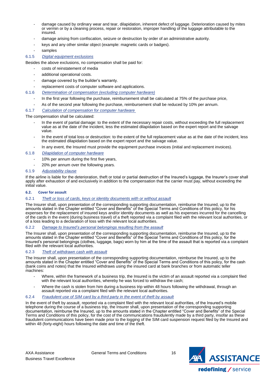- damage caused by ordinary wear and tear, dilapidation, inherent defect of luggage. Deterioration caused by mites or vermin or by a cleaning process, repair or restoration, improper handling of the luggage attributable to the insured.
- damage arising from confiscation, seizure or destruction by order of an administrative autority.
- keys and any other similar object (example: magnetic cards or badges).
- samples

## 6.1.5 *Digital equipment exclusions*

Besides the above exclusions, no compensation shall be paid for:

- costs of reinstatement of media
- additional operational costs.
- damage covered by the builder's warranty.
- replacement costs of computer software and applications.
- 6.1.6 *Determination of compensation (excluding computer hardware)*
	- In the first year following the purchase, reimbursement shall be calculated at 75% of the purchase price,
	- As of the second year following the purchase, reimbursement shall be reduced by 10% per annum.

## 6.1.7 *Calculation of compensation for computer hardware*

The compensation shall be calculated:

- In the event of partial damage: to the extent of the necessary repair costs, without exceeding the full replacement value as at the date of the incident, less the estimated dilapidation based on the expert report and the salvage value.
- In the event of total loss or destruction: to the extent of the full replacement value as at the date of the incident, less the estimated dilapidation based on the expert report and the salvage value.
- In any event, the Insured must provide the equipment purchase invoices (initial and replacement invoices).

## 6.1.8 *Dilapidation of computer hardware*

- 10% per annum during the first five years,
- 20% per annum over the following years.
- 6.1.9 *Adjustability clause*

If the airline is liable for the deterioration, theft or total or partial destruction of the Insured's luggage, the Insurer's cover shall apply after exhaustion of and exclusively in addition to the compensation that the carrier must pay, without exceeding the initial value.

## <span id="page-15-0"></span>**6.2. Cover for assault**

## 6.2.1 *Theft or loss of cards, keys or identity documents with or without assault*

The Insurer shall, upon presentation of the corresponding supporting documentation, reimburse the Insured, up to the amounts stated in the Chapter entitled "Cover and Benefits" of the Special Terms and Conditions of this policy, for his expenses for the replacement of insured keys and/or identity documents as well as his expenses incurred for the cancelling of the cards in the event (during business travel) of a theft reported via a complaint filed with the relevant local authorities, or of a loss leading to a declaration of loss with the relevant local authorities.

## 6.2.2 *Damage to Insured's personal belongings resulting from the assault*

The Insurer shall, upon presentation of the corresponding supporting documentation, reimburse the Insured, up to the amounts stated in the Chapter entitled "Cover and Benefits" of the Special Terms and Conditions of this policy, for the Insured's personal belongings (clothes, luggage, bags) worn by him at the time of the assault that is reported via a complaint filed with the relevant local authorities.

## 6.2.3 *Theft of withdrawn cash with assault*

The Insurer shall, upon presentation of the corresponding supporting documentation, reimburse the Insured, up to the amounts stated in the Chapter entitled "Cover and Benefits" of the Special Terms and Conditions of this policy, for the cash (bank coins and notes) that the Insured withdraws using the insured card at bank branches or from automatic teller machines:

- Where, within the framework of a business trip, the Insured is the victim of an assault reported via a complaint filed with the relevant local authorities, whereby he was forced to withdraw the cash;
- Where the cash is stolen from him during a business trip within 48 hours following the withdrawal, through an assault reported via a complaint filed with the relevant local authorities.

## 6.2.4 *Fraudulent use of SIM card by a third party in the event of theft by assault*

In the event of theft by assault, reported via a complaint filed with the relevant local authorities, of the Insured's mobile telephone during the course of a business trip, the Insurer shall, upon presentation of the corresponding supporting documentation, reimburse the Insured, up to the amounts stated in the Chapter entitled "Cover and Benefits" of the Special Terms and Conditions of this policy, for the cost of the communications fraudulently made by a third party, insofar as these fraudulent communications have been made prior to the logging of the SIM card suspension request filed by the Insured and within 48 (forty-eight) hours following the date and time of the theft.

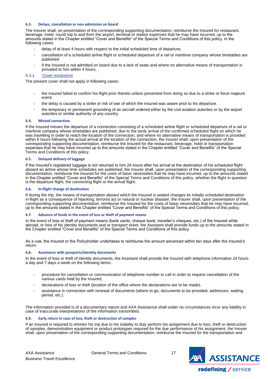## <span id="page-16-0"></span>**6.3. Delays, cancellation or non-admission on board**

The Insurer shall, on presentation of the corresponding supporting documentation, reimburse the Insured for restaurant, beverage, hotel, round trip to and from the airport, terminal or station expenses that he may have incurred, up to the amounts stated in the Chapter entitled "Cover and Benefits" of the Special Terms and Conditions of this policy, in the following cases:

- delay of at least 4 hours with respect to the initial scheduled time of departure,
- cancellation of a scheduled airline flight or scheduled departure of a rail or maritime company whose timetables are published
- if the Insured is not admitted on board due to a lack of seats and where no alternative means of transportation is provided to him within 4 hours,

## 6.3.1 *Cover exclusions*

The present cover shall not apply in following cases:

- the insured failed to confirm his flight prior thereto unless prevented from doing so due to a strike or force majeure event.
- the delay is caused by a strike or risk of war of which the insured was aware prior to his departure.
- the temporary or permanent grounding of an aircraft ordered either by the civil aviation autorites or by the airport autorites or similar authority of any country.

#### <span id="page-16-1"></span>**6.4. Missed connection**

If the Insured misses the departure of a connection consisting of a scheduled airline flight or scheduled departure of a rail or maritime company whose timetables are published, due to the tardy arrival of the confirmed scheduled flight on which he was travelling in order to reach the location of the connection, and where no alternative means of transportation is provided within 6 hours following the actual arrival at the location of the connection, the Insurer shall, upon presentation of the corresponding supporting documentation, reimburse the Insured for the restaurant, beverage, hotel or transportation expenses that he may have incurred up to the amounts stated in the Chapter entitled "Cover and Benefits" of the Special Terms and Conditions of this policy.

#### <span id="page-16-2"></span>**6.5. Delayed delivery of luggage**

If the Insured's registered luggage is not returned to him 24 hours after his arrival at the destination of his scheduled flight aboard an airline whose time schedules are published, the Insurer shall, upon presentation of the corresponding supporting documentation, reimburse the Insured for the costs of basic necessities that he may have incurred, up to the amounts stated in the Chapter entitled "Cover and Benefits" of the Special Terms and Conditions of this policy, whether the flight in question is the departure flight, the connecting flight or the arrival flight.

#### <span id="page-16-3"></span>**6.6. In-flight change of destination**

If during the trip, the means of transportation aboard which the Insured is seated changes its initially scheduled destination in-flight as a consequence of hijacking, terrorist act or natural or nuclear disaster, the Insurer shall, upon presentation of the corresponding supporting documentation, reimburse the Insured for the costs of basic necessities that he may have incurred, up to the amounts stated in the Chapter entitled "Cover and Benefits" of the Special Terms and Conditions of this policy.

#### <span id="page-16-4"></span>**6.7. Advance of funds in the event of loss or theft of payment means**

In the event of loss or theft of payment means (bank cards, cheque book, traveller's cheques, etc.) of the Insured while abroad, or loss of his identity documents and or transport ticket, the Assistant shall provide funds up to the amounts stated in the Chapter entitled "Cover and Benefits" of the Special Terms and Conditions of this policy.

As a rule, the Insured or the Policyholder undertakes to reimburse the amount advanced within ten days after the Insured's return.

#### <span id="page-16-5"></span>**6.8. Assistance with passports/identity documents**

In the event of loss or theft of identity documents, the Assistant shall provide the Insured with telephone information 24 hours a day and 7 days a week on the following items:

- procedure for cancellation or communication of telephone number to call in order to request cancellation of the various cards held by the Insured,
- declarations of loss or theft (location of the office where the declarations are to be made),
- assistance in connection with renewal of documents (where to go, documents to be provided, addresses, waiting period, etc.)

The information provided is of a documentary nature and AXA Assistance shall under no circumstances incur any liability in case of inaccurate interpretations of the information transmitted.

## <span id="page-16-6"></span>**6.9. Early return in case of loss, theft or destruction of samples**

If an Insured is required to shorten his trip due to his inability to duly perform his assignment due to loss, theft or destruction of samples, demonstration equipment or product prototypes required for the due performance of his assignment, the Insurer shall, upon presentation of the corresponding supporting documentation, reimburse the Insured for the transportation and

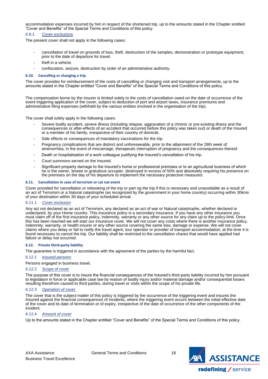accommodation expenses incurred by him in respect of the shortened trip, up to the amounts stated in the Chapter entitled "Cover and Benefits" of the Special Terms and Conditions of this policy.

## 6.9.1 *Cover exclusions*

The present cover shall not apply in the following cases:

- cancellation of travel on grounds of loss, theft, destruction of the samples, demonstration or prototype equipment, prior to the date of departure for travel.
- theft in a vehicle.
- confiscation, seizure, destruction by order of an administrative authority.

#### <span id="page-17-0"></span>**6.10. Cancelling or changing a trip**

The cover provides for reimbursement of the costs of cancelling or changing visit and transport arrangements, up to the amounts stated in the Chapter entitled "Cover and Benefits" of the Special Terms and Conditions of this policy.

The compensation borne by the Insurer is limited solely to the costs of cancellation owed on the date of occurrence of the event triggering application of the cover, subject to deduction of port and airport taxes, insurance premiums and administrative filing expenses (withheld by the various entities involved in the organisation of the trip).

The cover shall solely apply in the following cases:

- Severe bodily accident, severe illness (including relapse, aggravation of a chronic or pre-existing illness and the consequences or after-effects of an accident that occurred before this policy was taken out) or death of the Insured or a member of his family, irrespective of their country of domicile.
- Side effects or consequences of mandatory vaccinations for the trip.
- Pregnancy complications that are distinct and unforeseeable, prior to the attainment of the 28th week of amenorrhea, in the event of miscarriage, therapeutic interruption of pregnancy and the consequences thereof.
- Death or hospitalisation of a work colleague justifying the Insured's cancellation of his trip.
- Court summons served on the Insured.
- Significant property damage to the Insured's home or professional premises or to an agricultural business of which he is the owner, lessee or gratuitous occupier, destroyed in excess of 50% and absolutely requiring his presence on the premises on the day of his departure to implement the necessary protective measures.

#### <span id="page-17-1"></span>**6.11. Cancellation in case of terrorism or cat nat event**

Cover provided for cancellation or rebooking of the trip or part og the trip if this is necessary and unavoidable as a result of an act of Terrorism or a Natural catastrophe (as recognized by the government in your home country) occurring within 30kms of your destination within 30 days of your scheduled arrival.

#### 6.11.1 *Cover exclusion*

Any act not declared as an act of Terrorism, any declared as an act of war or Natural catastrophe, whether declared or undeclared, by your Home country. This insurance policy is a secondary insurance. If you have any other insurance you must claim off of the first insurance policy, indemnity, warranty or any other source for any claim up to the policy limit. Once this has been reached we will start our insurance cover. We will not cover any costs where there is another insurance policy, indemnity, warranty, or health insurer or any other source covering the same loss, damage or expense. We will not cover claims where you delay or fail to notify the travel agent, tour operator or provider of transport accommodation; at the time it is found necessary to cancel the trip. Our liability shall be restricted to the cancellation chares that would have applied had failure or delay not occurred.

#### <span id="page-17-2"></span>**6.12. Private third-party liability**

The guarantee is triggered in accordance with the agreement of the parties by the harmful fact.

#### 6.12.1 *Insured persons*

Persons engaged in business travel,

#### 6.12.2 *Scope of cover*

The purpose of this cover is to insure the financial consequences of the Insured's third-party liability incurred by him pursuant to legislation in force or applicable case law by reason of bodily injury and/or material damage and/or consequential losses resulting therefrom caused to third parties, during travel or visits within the scope of his private life.

#### 6.12.3 *Operation of cover*

The cover that is the subject-matter of this policy is triggered by the occurrence of the triggering event and insures the Insured against the financial consequences of incidents, where the triggering event occurs between the initial effective date of the cover and its date of termination or of expiry, irrespective of the date of occurrence of the other components of the incident.

## 6.12.4 *Amount of cover*

Up to the amounts stated in the Chapter entitled "Cover and Benefits" of the Special Terms and Conditions of this policy.

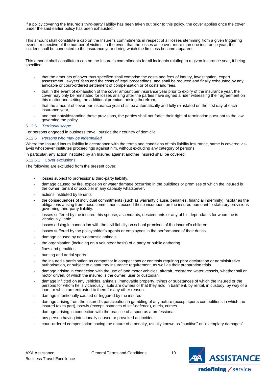If a policy covering the Insured's third-party liability has been taken out prior to this policy, the cover applies once the cover under the said earlier policy has been exhausted.

This amount shall constitute a cap on the Insurer's commitments in respect of all losses stemming from a given triggering event, irrespective of the number of victims; in the event that the losses arise over more than one insurance year, the incident shall be connected to the insurance year during which the first loss became apparent.

This amount shall constitute a cap on the Insurer's commitments for all incidents relating to a given insurance year, it being specified:

- that the amounts of cover thus specified shall comprise the costs and fees of inquiry, investigation, expert assessment, lawyers' fees and the costs of legal proceedings, and shall be reduced and finally exhausted by any amicable or court-ordered settlement of compensation or of costs and fees,
- that in the event of exhaustion of the cover amount per insurance year prior to expiry of the insurance year, the cover may only be reinstated for losses arising after the parties have signed a rider witnessing their agreement on this matter and setting the additional premium arising therefrom,
- that the amount of cover per insurance year shall be automatically and fully reinstated on the first day of each insurance year,
- and that notwithstanding these provisions, the parties shall not forfeit their right of termination pursuant to the law governing the policy.

## 6.12.5 *Territorial scope*

For persons engaged in business travel: outside their country of domicile.

## 6.12.6 *Persons who may be indemnified*

Where the Insured incurs liability in accordance with the terms and conditions of this liability insurance, same is covered visà-vis whosoever institutes proceedings against him, without excluding any category of persons.

In particular, any action instituted by an Insured against another Insured shall be covered.

## 6.12.6.1 Cover exclusions

The following are excluded from the present cover:

- losses subject to professional third-party liability.
- damage caused by fire, explosion or water damage occurring in the buildings or premises of which the insured is the owner, tenant or occupier in any capacity whatsoever.
- actions instituted by tenants
- the consequences of individual commitments (such as warranty clause, penalties, financial indemnity) insofar as the obligations arising from these commitments exceed those incumbent on the insured pursuant to statutory provisions governing third-party liability.
- losses suffered by the insured, his spouse, ascendants, descendants or any of his dependants for whom he is vicariously liable.
- losses arising in connection with the civil liability on school premises of the insured's children.
- losses suffered by the policyholder's agents or employees in the performance of their duties.
- damage caused by non-domestic animals.
- the organisation (including on a volunteer basis) of a party or public gathering.
- fines and penalties.
- hunting and aerial sports.
- the insured's participation as competitor in competitions or contests requiring prior declaration or administrative authorisation, or subject to a statutory insurance requirement, as well as their preparation trials.
- damage arising in connection with the use of land motor vehicles, aircraft, registered water vessels, whether sail or motor driven, of which the insured is the owner, user or custodian.
- damage inflicted on any vehicles, animals, immovable property, things or substances of which the insured or the persons for whom he is vicariously liable are owners or that they hold in bailment, by rental, in custody, by way of a loan, or which are entrusted to them for any other reason.
- damage intentionally caused or triggered by the insured.
- damage arising from the insured's participation in gambling of any nature (except sports competitions in which the insured takes part), brawls (except instances of self-defence), duels, crimes.
- damage arising in connection with the practice of a sport as a professional.
- any person having intentionally caused or provoked an incident.
- court-ordered compensation having the nature of a penalty, usually known as "punitive" or "exemplary damages".

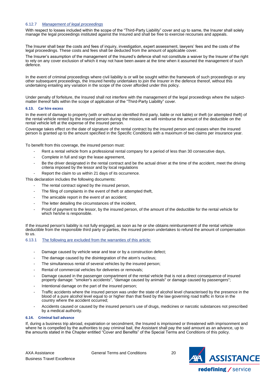## 6.12.7 *Management of legal proceedings*

With respect to losses included within the scope of the "Third-Party Liability" cover and up to same, the Insurer shall solely manage the legal proceedings instituted against the Insured and shall be free to exercise recourses and appeals.

The Insurer shall bear the costs and fees of inquiry, investigation, expert assessment, lawyers' fees and the costs of the legal proceedings. These costs and fees shall be deducted from the amount of applicable cover.

The Insurer's assumption of the management of the Insured's defence shall not constitute a waiver by the Insurer of the right to rely on any cover exclusion of which it may not have been aware at the time when it assumed the management of such defence.

In the event of criminal proceedings where civil liability is or will be sought within the framework of such proceedings or any other subsequent proceedings, the Insured hereby undertakes to join the Insurer in the defence thereof, without this undertaking entailing any variation in the scope of the cover afforded under this policy.

Under penalty of forfeiture, the Insured shall not interfere with the management of the legal proceedings where the subjectmatter thereof falls within the scope of application of the "Third-Party Liability" cover.

#### <span id="page-19-0"></span>**6.13. Car hire excess**

In the event of damage to property (with or without an identified third party, liable or not liable) or theft (or attempted theft) of the rental vehicle rented by the insured person during the mission, we will reimburse the amount of the deductible on the rental vehicle left at the expense of the insured person.

Coverage takes effect on the date of signature of the rental contract by the insured person and ceases when the insured person is granted up to the amount specified in the Specific Conditions with a maximum of two claims per insurance year.

To benefit from this coverage, the insured person must:

- Rent a rental vehicle from a professional rental company for a period of less than 30 consecutive days,
- Complete in full and sign the lease agreement,
- Be the driver designated in the rental contract and be the actual driver at the time of the accident, meet the driving criteria imposed by the lessor and by local regulations
- Report the claim to us within 21 days of its occurrence.

This declaration includes the following documents:

- The rental contract signed by the insured person,
- The filing of complaints in the event of theft or attempted theft,
- The amicable report in the event of an accident;
- The letter detailing the circumstances of the incident,
- Proof of payment to the lessor, by the insured person, of the amount of the deductible for the rental vehicle for which he/she is responsible.

If the insured person's liability is not fully engaged, as soon as he or she obtains reimbursement of the rental vehicle deductible from the responsible third party or parties, the insured person undertakes to refund the amount of compensation to us.

## 6.13.1 The following are excluded from the warranties of this article*:*

- Damage caused by vehicle wear and tear or by a construction defect;
- The damage caused by the disintegration of the atom's nucleus;
- The simultaneous rental of several vehicles by the insured person;
- Rental of commercial vehicles for deliveries or removals;
- Damage caused in the passenger compartment of the rental vehicle that is not a direct consequence of insured property damage: "smoker's accidents", "damage caused by animals" or damage caused by passengers";
- Intentional damage on the part of the insured person;
- Traffic accidents where the insured person was under the state of alcohol level characterised by the presence in the blood of a pure alcohol level equal to or higher than that fixed by the law governing road traffic in force in the country where the accident occurred;
- Accidents caused or caused by the insured person's use of drugs, medicines or narcotic substances not prescribed by a medical authority.

#### <span id="page-19-1"></span>**6.14. Criminal bail advance**

If, during a business trip abroad, expatriation or secondment, the Insured is imprisoned or threatened with imprisonment and where he is compelled by the authorities to pay criminal bail, the Assistant shall pay the said amount as an advance, up to the amounts stated in the Chapter entitled "Cover and Benefits" of the Special Terms and Conditions of this policy.

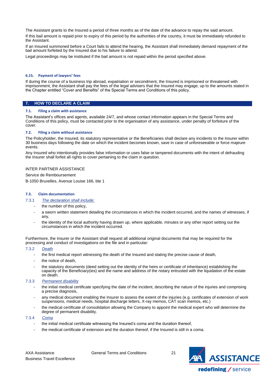The Assistant grants to the Insured a period of three months as of the date of the advance to repay the said amount. If this bail amount is repaid prior to expiry of this period by the authorities of the country, it must be immediately refunded to the Assistant.

If an Insured summoned before a Court fails to attend the hearing, the Assistant shall immediately demand repayment of the bail amount forfeited by the Insured due to his failure to attend.

Legal proceedings may be instituted if the bail amount is not repaid within the period specified above.

## <span id="page-20-0"></span>**6.15. Payment of lawyers' fees**

If during the course of a business trip abroad, expatriation or secondment, the Insured is imprisoned or threatened with imprisonment, the Assistant shall pay the fees of the legal advisers that the Insured may engage, up to the amounts stated in the Chapter entitled "Cover and Benefits" of the Special Terms and Conditions of this policy.

## <span id="page-20-1"></span>**7. HOW TO DECLARE A CLAIM**

#### <span id="page-20-2"></span>**7.1. Filing a claim with assistance**

The Assistant's offices and agents, available 24/7, and whose contact information appears in the Special Terms and Conditions of this policy, must be contacted prior to the organisation of any assistance, under penalty of forfeiture of the cover.

#### <span id="page-20-3"></span>**7.2. Filing a claim without assistance**

The Policyholder, the Insured, its statutory representative or the Beneficiaries shall declare any incidents to the Insurer within 30 business days following the date on which the incident becomes known, save in case of unforeseeable or force majeure events.

Any Insured who intentionally provides false information or uses false or tampered documents with the intent of defrauding the Insurer shall forfeit all rights to cover pertaining to the claim in question.

#### INTER PARTNER ASSISTANCE

Service de Remboursement

B-1050 Bruxelles, Avenue Louise 166, bte 1

#### <span id="page-20-4"></span>**7.3. Claim documentation**

#### 7.3.1 *The declaration shall include:*

- the number of this policy.
- a sworn written statement detailing the circumstances in which the incident occurred, and the names of witnesses, if any,
- the identity of the local authority having drawn up, where applicable, minutes or any other report setting out the circumstances in which the incident occurred.

Furthermore, the Insurer or the Assistant shall request all additional original documents that may be required for the processing and conduct of investigations on the file and in particular:

#### 7.3.2 *Death*

- the first medical report witnessing the death of the Insured and stating the precise cause of death,
- the notice of death,
- the statutory documents (deed setting out the identity of the heirs or certificate of inheritance) establishing the capacity of the Beneficiary(ies) and the name and address of the notary entrusted with the liquidation of the estate on death.

#### 7.3.3 *Permanent disability*

- the initial medical certificate specifying the date of the incident, describing the nature of the injuries and comprising a precise diagnosis,
- any medical document enabling the Insurer to assess the extent of the injuries (e.g. certificates of extension of work suspensions, medical needs, hospital discharge letters, X-ray memos, CAT scan memos, etc.)
- the medical certificate of consolidation allowing the Company to appoint the medical expert who will determine the degree of permanent disability.

#### 7.3.4 *Coma*

- the initial medical certificate witnessing the Insured's coma and the duration thereof,
- the medical certificate of extension and the duration thereof, if the Insured is still in a coma.

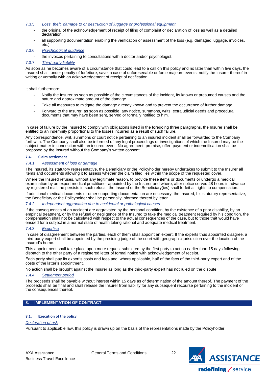- 7.3.5 *Loss, theft, damage to or destruction of luggage or professional equipment*
	- the original of the acknowledgement of receipt of filing of complaint or declaration of loss as well as a detailed declaration.
	- all supporting documentation enabling the verification or assessment of the loss (e.g. damaged luggage, invoices, etc.)

## 7.3.6 *Psychological guidance*

the invoices pertaining to consultations with a doctor and/or psychologist.

## 7.3.7 *Third-party liability*

As soon as he becomes aware of a circumstance that could lead to a call on this policy and no later than within five days, the Insured shall, under penalty of forfeiture, save in case of unforeseeable or force majeure events, notify the Insurer thereof in writing or verbally with an acknowledgement of receipt of notification.

It shall furthermore:

- Notify the Insurer as soon as possible of the circumstances of the incident, its known or presumed causes and the nature and approximate amount of the damage.
- Take all measures to mitigate the damage already known and to prevent the occurrence of further damage.
- Forward to the Insurer, as soon as possible, any notice, summons, writs, extrajudicial deeds and procedural documents that may have been sent, served or formally notified to him.

In case of failure by the Insured to comply with obligations listed in the foregoing three paragraphs, the Insurer shall be entitled to an indemnity proportional to the losses incurred as a result of such failure.

Any correspondence, writ, summons or court notice pertaining to an insured incident shall be forwarded to the Company forthwith. The Company shall also be informed of any legal proceedings or investigations of which the Insured may be the subject-matter in connection with an insured event. No agreement, promise, offer, payment or indemnification shall be proposed by the Insured without the Company's written consent.

## <span id="page-21-0"></span>**7.4. Claim settlement**

#### 7.4.1 *Assessment of loss or damage*

The Insured, its statutory representative, the Beneficiary or the Policyholder hereby undertakes to submit to the Insurer all items and documents allowing it to assess whether the claim filed lies within the scope of the requested cover.

Where the Insured refuses, without any legitimate reason, to provide these items or documents or undergo a medical examination by an expert medical practitioner appointed by the Insurer and where, after notice served 48 hours in advance by registered mail, he persists in such refusal, the Insured or the Beneficiary(ies) shall forfeit all rights to compensation.

If additional medical documents or other supporting documentation are necessary, the Insured, his statutory representative, the Beneficiary or the Policyholder shall be personally informed thereof by letter.

## 7.4.2 *Independent aggravation due to accidental or pathological causes*

If the consequences of an accident are aggravated by the personal condition, by the existence of a prior disability, by an empirical treatment, or by the refusal or negligence of the Insured to take the medical treatment required by his condition, the compensation shall not be calculated with respect to the actual consequences of the case, but to those that would have ensued for a subject in a normal state of health taking rational and adequate medical treatment.

## 7.4.3 *Expertise*

In case of disagreement between the parties, each of them shall appoint an expert. If the experts thus appointed disagree, a third-party expert shall be appointed by the presiding judge of the court with geographic jurisdiction over the location of the Insured's home.

This appointment shall take place upon mere request submitted by the first party to act no earlier than 15 days following dispatch to the other party of a registered letter of formal notice with acknowledgement of receipt.

Each party shall pay its expert's costs and fees and, where applicable, half of the fees of the third-party expert and of the costs of the latter's appointment.

No action shall be brought against the Insurer as long as the third-party expert has not ruled on the dispute.

## 7.4.4 *Settlement period*

The proceeds shall be payable without interest within 15 days as of determination of the amount thereof. The payment of the proceeds shall be final and shall release the Insurer from liability for any subsequent recourse pertaining to the incident or the consequences thereof.

## <span id="page-21-1"></span>**8. IMPLEMENTATION OF CONTRACT**

## <span id="page-21-2"></span>**8.1. Execution of the policy**

## *Declaration of risk*

Pursuant to applicable law, this policy is drawn up on the basis of the representations made by the Policyholder.

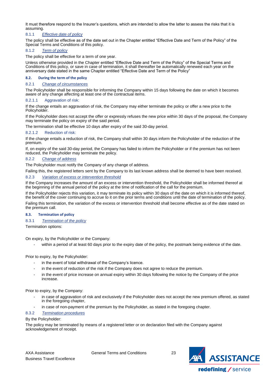It must therefore respond to the Insurer's questions, which are intended to allow the latter to assess the risks that it is assuming.

## 8.1.1 *Effective date of policy*

The policy shall be effective as of the date set out in the Chapter entitled "Effective Date and Term of the Policy" of the Special Terms and Conditions of this policy.

## 8.1.2 *Term of policy*

The policy shall be effective for a term of one year.

Unless otherwise provided in the Chapter entitled "Effective Date and Term of the Policy" of the Special Terms and Conditions of this policy, or save in case of termination, it shall thereafter be automatically renewed each year on the anniversary date stated in the same Chapter entitled "Effective Date and Term of the Policy"

## <span id="page-22-0"></span>**8.2. During the term of the policy**

## 8.2.1 *Change of circumstances*

The Policyholder shall be responsible for informing the Company within 15 days following the date on which it becomes aware of any change affecting at least one of the contractual items.

## 8.2.1.1 Aggravation of risk:

If the change entails an aggravation of risk, the Company may either terminate the policy or offer a new price to the Policyholder.

If the Policyholder does not accept the offer or expressly refuses the new price within 30 days of the proposal, the Company may terminate the policy on expiry of the said period.

The termination shall be effective 10 days after expiry of the said 30-day period.

## 8.2.1.2 Reduction of risk:

If the change entails a reduction of risk, the Company shall within 30 days inform the Policyholder of the reduction of the premium.

If, on expiry of the said 30-day period, the Company has failed to inform the Policyholder or if the premium has not been reduced, the Policyholder may terminate the policy.

## 8.2.2 *Change of address*

The Policyholder must notify the Company of any change of address.

Failing this, the registered letters sent by the Company to its last known address shall be deemed to have been received.

## 8.2.3 *Variation of excess or intervention threshold*

If the Company increases the amount of an excess or intervention threshold, the Policyholder shall be informed thereof at the beginning of the annual period of the policy at the time of notification of the call for the premium.

If the Policyholder rejects this variation, it may terminate its policy within 30 days of the date on which it is informed thereof, the benefit of the cover continuing to accrue to it on the prior terms and conditions until the date of termination of the policy. Failing this termination, the variation of the excess or intervention threshold shall become effective as of the date stated on the premium call.

## <span id="page-22-1"></span>**8.3. Termination of policy**

## 8.3.1 *Termination of the policy*

Termination options:

On expiry, by the Policyholder or the Company:

within a period of at least 60 days prior to the expiry date of the policy, the postmark being evidence of the date.

Prior to expiry, by the Policyholder:

- in the event of total withdrawal of the Company's licence.
- in the event of reduction of the risk if the Company does not agree to reduce the premium.
- in the event of price increase on annual expiry within 30 days following the notice by the Company of the price increase.

Prior to expiry, by the Company:

- in case of aggravation of risk and exclusively if the Policyholder does not accept the new premium offered, as stated in the foregoing chapter,
- in case of non-payment of the premium by the Policyholder, as stated in the foregoing chapter.

## 8.3.2 *Termination procedures*

## By the Policyholder:

The policy may be terminated by means of a registered letter or on declaration filed with the Company against acknowledgement of receipt.

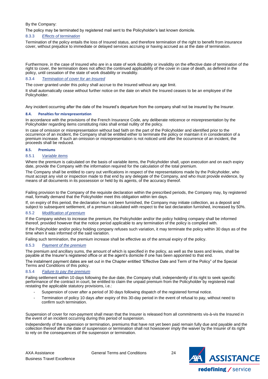## By the Company:

The policy may be terminated by registered mail sent to the Policyholder's last known domicile.

## 8.3.3 *Effects of termination*

Termination of the policy entails the loss of Insured status, and therefore termination of the right to benefit from insurance cover, without prejudice to immediate or delayed services accruing or having accrued as at the date of termination.

Furthermore, in the case of Insured who are in a state of work disability or invalidity on the effective date of termination of the right to cover, the termination does not affect the continued applicability of the cover in case of death, as defined in the policy, until cessation of the state of work disability or invalidity.

## 8.3.4 *Termination of cover for an Insured*

The cover granted under this policy shall accrue to the Insured without any age limit.

It shall automatically cease without further notice on the date on which the Insured ceases to be an employee of the Policyholder.

Any incident occurring after the date of the Insured's departure from the company shall not be insured by the Insurer.

#### <span id="page-23-0"></span>**8.4. Penalties for misrepresentation**

In accordance with the provisions of the French Insurance Code, any deliberate reticence or misrepresentation by the Policyholder regarding items constituting risks shall entail nullity of the policy.

In case of omission or misrepresentation without bad faith on the part of the Policyholder and identified prior to the occurrence of an incident, the Company shall be entitled either to terminate the policy or maintain it in consideration of a premium increase. If such an omission or misrepresentation is not noticed until after the occurrence of an incident, the proceeds shall be reduced.

#### <span id="page-23-1"></span>**8.5. Premiums**

#### 8.5.1 *Variable items*

Where the premium is calculated on the basis of variable items, the Policyholder shall, upon execution and on each expiry date, provide the Company with the information required for the calculation of the total premium.

The Company shall be entitled to carry out verifications in respect of the representations made by the Policyholder, who must accept any visit or inspection made to that end by any delegate of the Company, and who must provide evidence, by means of all documents in its possession or held by its agents, of the accuracy thereof.

Failing provision to the Company of the requisite declaration within the prescribed periods, the Company may, by registered mail, formally demand that the Policyholder meet this obligation within ten days.

If, on expiry of this period, the declaration has not been furnished, the Company may initiate collection, as a deposit and subject to subsequent settlement, of a premium calculated with respect to the last declaration furnished, increased by 50%.

## 8.5.2 *Modification of premium*

If the Company wishes to increase the premium, the Policyholder and/or the policy holding company shall be informed thereof, provided however that the notice period applicable to any termination of the policy is complied with.

If the Policyholder and/or policy holding company refuses such variation, it may terminate the policy within 30 days as of the time when it was informed of the said variation.

Failing such termination, the premium increase shall be effective as of the annual expiry of the policy.

## 8.5.3 *Payment of the premium*

The premium and ancillary sums, the amount of which is specified in the policy, as well as the taxes and levies, shall be payable at the Insurer's registered office or at the agent's domicile if one has been appointed to that end.

The instalment payment dates are set out in the Chapter entitled "Effective Date and Term of the Policy" of the Special Terms and Conditions of this policy.

## 8.5.4 *Failure to pay the premium*

Failing settlement within 10 days following the due date, the Company shall, independently of its right to seek specific performance of the contract in court, be entitled to claim the unpaid premium from the Policyholder by registered mail restating the applicable statutory provisions, i.e.:

- Suspension of cover after a period of 30 days following dispatch of the registered formal notice.
- Termination of policy 10 days after expiry of this 30-day period in the event of refusal to pay, without need to confirm such termination.

Suspension of cover for non-payment shall mean that the Insurer is released from all commitments vis-à-vis the Insured in the event of an incident occurring during this period of suspension.

Independently of the suspension or termination, premiums that have not yet been paid remain fully due and payable and the collection thereof after the date of suspension or termination shall not howsoever imply the waiver by the Insurer of its right to rely on the consequences of the suspension or termination.

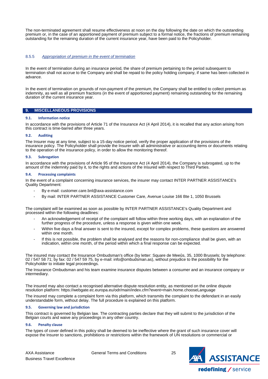The non-terminated agreement shall resume effectiveness at noon on the day following the date on which the outstanding premium or, in the case of an apportioned payment of premium subject to a formal notice, the fractions of premium remaining outstanding for the remaining duration of the current insurance year, have been paid to the Policyholder.

## 8.5.5 *Appropriation of premium in the event of termination*

In the event of termination during an insurance period, the share of premium pertaining to the period subsequent to termination shall not accrue to the Company and shall be repaid to the policy holding company, if same has been collected in advance.

In the event of termination on grounds of non-payment of the premium, the Company shall be entitled to collect premium as indemnity, as well as all premium fractions (in the event of apportioned payment) remaining outstanding for the remaining duration of the current insurance year.

## <span id="page-24-0"></span>**9. MISCELLANEOUS PROVISIONS**

#### <span id="page-24-1"></span>**9.1. Information notice**

In accordance with the provisions of Article 71 of the Insurance Act (4 April 2014), it is recalled that any action arising from this contract is time-barred after three years.

## <span id="page-24-2"></span>**9.2. Auditing**

The Insurer may at any time, subject to a 15-day notice period, verify the proper application of the provisions of the insurance policy. The Policyholder shall provide the Insurer with all administrative or accounting items or documents relating to the operation of the insurance policy, in order to allow the monitoring thereof.

#### <span id="page-24-3"></span>**9.3. Subrogation**

In accordance with the provisions of Article 95 of the Insurance Act (4 April 2014), the Company is subrogated, up to the amount of the indemnity paid by it, to the rights and actions of the Insured with respect to Third Parties.

#### <span id="page-24-4"></span>**9.4. Processing complaints**

In the event of a complaint concerning insurance services, the insurer may contact INTER PARTNER ASSISTANCE's Quality Department:

- By e-mail: customer.care.bnl@axa-assistance.com
- By mail: INTER PARTNER ASSISTANCE Customer Care, Avenue Louise 166 Bte 1, 1050 Brussels

The complaint will be examined as soon as possible by INTER PARTNER ASSISTANCE's Quality Department and processed within the following deadlines:

- An acknowledgement of receipt of the complaint will follow within three working days, with an explanation of the further progress of the procedure, unless a response is given within one week.
- Within five days a final answer is sent to the insured, except for complex problems, these questions are answered within one month.
- If this is not possible, the problem shall be analysed and the reasons for non-compliance shall be given, with an indication, within one month, of the period within which a final response can be expected.

The insured may contact the Insurance Ombudsman's office (by letter: Square de Meeûs, 35, 1000 Brussels; by telephone: 02 / 547 58 71; by fax: 02 / 547 59 75, by e-mail: info@ombudsman.as), without prejudice to the possibility for the Policyholder to initiate legal proceedings.

The Insurance Ombudsman and his team examine insurance disputes between a consumer and an insurance company or intermediary.

The insured may also contact a recognised alternative dispute resolution entity, as mentioned on the online dispute resolution platform: https://webgate.ec.europa.eu/odr/main/index.cfm?event=main.home.chooseLanguage

The insured may complete a complaint form via this platform, which transmits the complaint to the defendant in an easily understandable form, without delay. The full procedure is explained on this platform.

#### <span id="page-24-5"></span>**9.5. Governing law and jurisdiction**

This contract is governed by Belgian law. The contracting parties declare that they will submit to the jurisdiction of the Belgian courts and waive any proceedings in any other country.

## <span id="page-24-6"></span>**9.6. Penalty clause**

The types of cover defined in this policy shall be deemed to be ineffective where the grant of such insurance cover will expose the Insurer to sanctions, prohibitions or restrictions within the framework of UN resolutions or commercial or

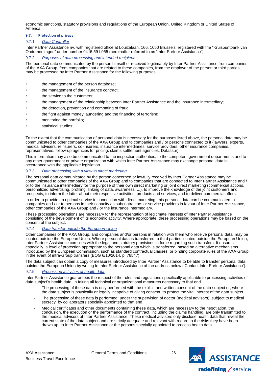economic sanctions, statutory provisions and regulations of the European Union, United Kingdom or United States of America.

## <span id="page-25-0"></span>**9.7. Protection of privacy**

## 9.7.1 *Data Controller*

Inter Partner Assistance nv, with registered office at Louizalaan, 166, 1050 Brussels, registered with the "Kruispuntbank van Ondernemingen" under number 0415.591.055 (hereinafter referred to as "Inter Partner Assistance").

## 9.7.2 *Purposes of data processing and intended recipients*

The personal data communicated by the person himself or received legitimately by Inter Partner Assistance from companies of the AXA Group, from companies that are related to these companies, from the employer of the person or third parties, may be processed by Inter Partner Assistance for the following purposes:

- the management of the person database;
- the management of the insurance contract;
- the service to the customers;
- the management of the relationship between Inter Partner Assistance and the insurance intermediary;
- the detection, prevention and combating of fraud;
- the fight against money laundering and the financing of terrorism;
- monitoring the portfolio;
- statistical studies;

To the extent that the communication of personal data is necessary for the purposes listed above, the personal data may be communicated to other companies of the AXA Group and to companies and / or persons connected to it (lawyers, experts, medical advisers, reinsurers, co-insurers, insurance intermediaries, service providers, other insurance companies, representatives, follow-up agencies for pricing, claims settlement agencies, Datassur).

This information may also be communicated to the inspection authorities, to the competent government departments and to any other government or private organization with which Inter Partner Assistance may exchange personal data in accordance with the applicable legislation.

## 9.7.3 *Data processing with a view to direct marketing*

The personal data communicated by the person concerned or lawfully received by Inter Partner Assistance may be communicated to other companies of the AXA Group and to companies that are connected to Inter Partner Assistance and / or to the insurance intermediary for the purpose of their own direct marketing or joint direct marketing (commercial actions, personalized advertising, profiling, linking of data, awareness, ...), to improve the knowledge of the joint customers and prospects, to inform the latter about their respective activities, products and services, and to deliver commercial offers.

In order to provide an optimal service in connection with direct marketing, this personal data can be communicated to companies and / or to persons in their capacity as subcontractors or service providers in favour of Inter Partner Assistance, other companies of the AXA Group and / or the insurance intermediary.

These processing operations are necessary for the representation of legitimate interests of Inter Partner Assistance consisting of the development of its economic activity. Where appropriate, these processing operations may be based on the consent of the subject.

## 9.7.4 *Data transfer outside the European Union*

Other companies of the AXA Group, and companies and/or persons in relation with them who receive personal data, may be located outside the European Union. Where personal data is transferred to third parties located outside the European Union, Inter Partner Assistance complies with the legal and statutory provisions in force regarding such transfers. It ensures, especially, a level of protection appropriate to the personal data which is transferred, based on alternative mechanisms introduced by the European Commission, such as standard contractual clauses, or binding corporate rules of the AXA Group in the event of intra-Group transfers (BOG 6/10/2014, p. 78547).

The data subject can obtain a copy of measures introduced by Inter Partner Assistance to be able to transfer personal data outside the European Union by writing to Inter Partner Assistance at the address below ('Contact Inter Partner Assistance').

## 9.7.5 *Processing activities of health data*

Inter Partner Assistance guarantees the respect of the rules and regulations specifically applicable to processing activities of data subject's health data, in taking all technical or organizational measures necessary to that end.

- The processing of these data is only performed with the explicit and written consent of the data subject or, where the data subject is physically or legally incapable of giving consent, to protect the vital interest of the data subject.
- The processing of these data is performed, under the supervision of doctor (medical advisors), subject to medical secrecy, by collaborators specially appointed to that end.
- Medical certificates and other documents containing these data, which are necessary to the negotiation, the conclusion, the execution or the performance of the contract, including the claims handling, are only transmitted to the medical advisors of Inter Partner Assistance. These medical advisors only disclose health data that reveal the current state of the data subject and are strictly adequate and relevant with regard to the risks they have been drawn up, to Inter Partner Assistance or the persons specially appointed to process health data.

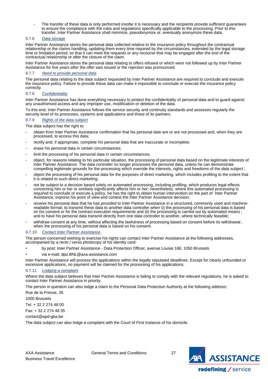The transfer of these data is only performed insofar it is necessary and the recipients provide sufficient quarantees to ensure the compliance with the rules and regulations specifically applicable to the processing. Prior to this transfer, Inter Partner Assistance shall minimize, pseudonymize or, eventually anonymize these data.

## 9.7.6 *Data storage*

Inter Partner Assistance stores the personal data collected relative to the insurance policy throughout the contractual relationship or the claims handling, updating them every time required by the circumstances, extended by the legal storage time or limitation period, so that it can meet the requests or any recourse that may be engaged after the end of the contractual relationship or after the closure of the claim.

Inter Partner Assistance stores the personal data relating to offers refused or which were not followed up by Inter Partner Assistance for five years after the offer was issued or the rejection was pronounced.

## 9.7.7 *Need to provide personal data*

The personal data relating to the data subject requested by Inter Partner Assistance are required to conclude and execute the insurance policy. Failure to provide these data can make it impossible to conclude or execute the insurance policy correctly.

## 9.7.8 *Confidentiality*

Inter Partner Assistance has done everything necessary to protect the confidentiality of personal data and to guard against any unauthorised access and any improper use, modification or deletion of the data.

To this end, Inter Partner Assistance follows the service security and continuity standards and assesses regularly the security level of its processes, systems and applications and those of its partners.

## 9.7.9 *Rights of the data subject*

The data subject has the right to:

- obtain from Inter Partner Assistance confirmation that his personal date are or are not processed and, when they are processed, to access this data;
- rectify and, if appropriate, complete his personal data that are inaccurate or incomplete;
- erase his personal data in certain circumstances;
- limit the processing of his personal data in certain circumstances;
- object, for reasons relating to his particular situation, the processing of personal data based on the legitimate interests of Inter Partner Assistance. The data controller no longer processes the personal data, unless he can demonstrate compelling legitimate grounds for the processing which override the interests, rights and freedoms of the data subject ;
- object the processing of his personal data for the purposes of direct marketing, which includes profiling to the extent that it is related to such direct marketing;
- not be subject to a decision based solely on automated processing, including profiling, which produces legal effects concerning him or her or similarly significantly affects him or her; nevertheless, where this automated processing is required to conclude or execute a policy, he has the right to obtain human intervention on the part of Inter Partner Assistance, express his point of view and contest the Inter Partner Assistance decision;
- receive his personal data that he has provided to Inter Partner Assistance in a structured, commonly used and machinereadable format; to transmit these data to another data controller when (i) the processing of his personal data is based on his consent or for the contract execution requirements and (ii) the processing is carried out by automated means ; and to have his personal data transmit directly from one data controller to another, where technically feasible;
- withdraw consent at any time, without affecting the lawfulness of processing based on consent before its withdrawal , when the processing of his personal data is based on his consent.

## 9.7.10 *Contact Inter Partner Assistance*

The person concerned wishing to exercise his rights can contact Inter Partner Assistance at the following addresses, accompanied by a recto / verso photocopy of his identity card:

- by post: Inter Partner Assistance Data Protection Officer, avenue Louise 166, 1050 Brussels
- via e-mail: dpo.BNL@axa-assistance.com

Inter Partner Assistance will process the applications within the legally stipulated deadlines. Except for clearly unfounded or excessive applications, no payment will be claimed for the processing of his applications.

## 9.7.11 *Lodging a complaint*

Where the data subject believes that Inter Partner Assistance is failing to comply with the relevant regulations, he is asked to contact Inter Partner Assistance in priority.

The person in question can also lodge a claim to the Personal Data Protection Authority at the following address:

Rue de la Presse, 35

1000 Brussels

Tel. + 32 2 274 48 00

Fax: + 32 2 274 48 35

contact@apd-gba.be

The data subject can also lodge a complaint with the Court of First Instance of his domicile.

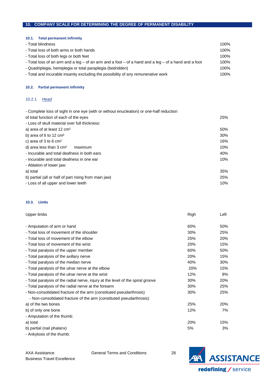# <span id="page-27-0"></span>**10. COMPANY SCALE FOR DETERMINING THE DEGREE OF PERMANENT DISABILITY**

<span id="page-27-1"></span>

| 100% |
|------|
| 100% |
| 100% |
| 100% |
| 100% |
| 100% |
|      |

## <span id="page-27-2"></span>**10.2. Partial permanent infirmity**

## 10.2.1 *Head*

| - Complete loss of sight in one eye (with or without enucleation) or one-half reduction |        |
|-----------------------------------------------------------------------------------------|--------|
| of total function of each of the eyes                                                   | 25%    |
| - Loss of skull material over full thickness:                                           |        |
| a) area of at least 12 cm <sup>2</sup>                                                  | 50%    |
| b) area of 6 to 12 $cm2$                                                                | $30\%$ |
| c) area of 3 to 6 $cm2$                                                                 | 16%    |
| d) area less than $3 \text{ cm}^2$<br>maximum                                           | 10%    |
| - Incurable and total deafness in both ears                                             | 40%    |
| - Incurable and total deafness in one ear                                               | 10%    |
| - Ablation of lower jaw:                                                                |        |
| a) total                                                                                | 35%    |
| b) partial (all or half of part rising from main jaw)                                   | 25%    |
| - Loss of all upper and lower teeth                                                     | 10%    |

# <span id="page-27-3"></span>**10.3. Limbs**

| Upper limbs                                                                     | Righ | Left |
|---------------------------------------------------------------------------------|------|------|
|                                                                                 |      |      |
| - Amputation of arm or hand                                                     | 60%  | 50%  |
| - Total loss of movement of the shoulder                                        | 30%  | 25%  |
| - Total loss of movement of the elbow                                           | 25%  | 20%  |
| - Total loss of movement of the wrist                                           | 20%  | 15%  |
| - Total paralysis of the upper member                                           | 60%  | 50%  |
| - Total paralysis of the axillary nerve                                         | 20%  | 15%  |
| - Total paralysis of the median nerve                                           | 40%  | 30%  |
| - Total paralysis of the ulnar nerve at the elbow                               | 20%  | 15%  |
| - Total paralysis of the ulnar nerve at the wrist                               | 12%  | 8%   |
| - Total paralysis of the radial nerve, injury at the level of the spiral groove | 30%  | 20%  |
| - Total paralysis of the radial nerve at the forearm                            | 30%  | 25%  |
| - Non-consolidated fracture of the arm (constituted pseudarthrosis)             | 30%  | 25%  |
| - Non-consolidated fracture of the arm (constituted pseudarthrosis):            |      |      |
| a) of the two bones                                                             | 25%  | 20%  |
| b) of only one bone                                                             | 12%  | 7%   |
| - Amputation of the thumb:                                                      |      |      |
| a) total                                                                        | 20%  | 15%  |
| b) partial (nail phalanx)                                                       | 5%   | 3%   |

- Ankylosis of the thumb:

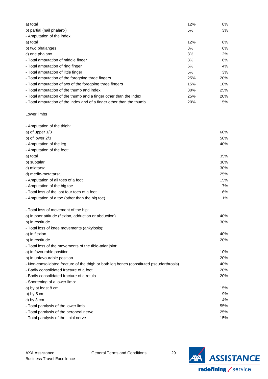| a) total                                                             | 12% | 8%  |
|----------------------------------------------------------------------|-----|-----|
| b) partial (nail phalanx)                                            | 5%  | 3%  |
| - Amputation of the index:                                           |     |     |
| a) total                                                             | 12% | 8%  |
| b) two phalanges                                                     | 8%  | 6%  |
| c) one phalanx                                                       | 3%  | 2%  |
| - Total amputation of middle finger                                  | 8%  | 6%  |
| - Total amputation of ring finger                                    | 6%  | 4%  |
| - Total amputation of little finger                                  | 5%  | 3%  |
| - Total amputation of the foregoing three fingers                    | 25% | 20% |
| - Total amputation of two of the foregoing three fingers             | 15% | 10% |
| - Total amputation of the thumb and index                            | 30% | 25% |
| - Total amputation of the thumb and a finger other than the index    | 25% | 20% |
| - Total amputation of the index and of a finger other than the thumb | 20% | 15% |

Lower limbs

| - Amputation of the thigh:                                                              |     |
|-----------------------------------------------------------------------------------------|-----|
| a) of upper 1/3                                                                         | 60% |
| b) of lower 2/3                                                                         | 50% |
| - Amputation of the leg                                                                 | 40% |
| - Amputation of the foot:                                                               |     |
| a) total                                                                                | 35% |
| b) subtalar                                                                             | 30% |
| c) midtarsal                                                                            | 30% |
| d) medio-metatarsal                                                                     | 25% |
| - Amputation of all toes of a foot                                                      | 15% |
| - Amputation of the big toe                                                             | 7%  |
| - Total loss of the last four toes of a foot                                            | 6%  |
| - Amputation of a toe (other than the big toe)                                          | 1%  |
| - Total loss of movement of the hip:                                                    |     |
| a) in poor attitude (flexion, adduction or abduction)                                   | 40% |
| b) in rectitude                                                                         | 30% |
| - Total loss of knee movements (ankylosis):                                             |     |
| a) in flexion                                                                           | 40% |
| b) in rectitude                                                                         | 20% |
| - Total loss of the movements of the tibio-talar joint:                                 |     |
| a) in favourable position                                                               | 10% |
| b) in unfavourable position                                                             | 20% |
| - Non-consolidated fracture of the thigh or both leg bones (constituted pseudarthrosis) | 40% |
| - Badly consolidated fracture of a foot                                                 | 20% |
| - Badly consolidated fracture of a rotula                                               | 20% |
| - Shortening of a lower limb:                                                           |     |
| a) by at least 8 cm                                                                     | 15% |
| b) by $5 \text{ cm}$                                                                    | 9%  |
| c) by 3 cm                                                                              | 4%  |
| - Total paralysis of the lower limb                                                     | 55% |
| - Total paralysis of the peroneal nerve                                                 | 25% |

- Total paralysis of the tibial nerve 15%

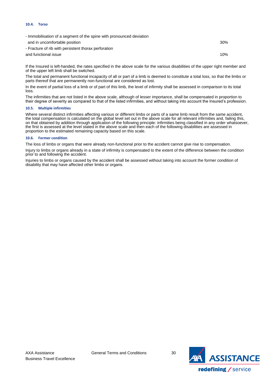#### <span id="page-29-0"></span>**10.4. Torso**

| - Immobilisation of a segment of the spine with pronounced deviation |     |
|----------------------------------------------------------------------|-----|
| and in uncomfortable position                                        | 30% |
| - Fracture of rib with persistent thorax perforation                 |     |
| and functional issue                                                 | 10% |
|                                                                      |     |

If the Insured is left-handed, the rates specified in the above scale for the various disabilities of the upper right member and of the upper left limb shall be switched.

The total and permanent functional incapacity of all or part of a limb is deemed to constitute a total loss, so that the limbs or parts thereof that are permanently non-functional are considered as lost.

In the event of partial loss of a limb or of part of this limb, the level of infirmity shall be assessed in comparison to its total loss.

The infirmities that are not listed in the above scale, although of lesser importance, shall be compensated in proportion to their degree of severity as compared to that of the listed infirmities, and without taking into account the Insured's profession.

#### <span id="page-29-1"></span>**10.5. Multiple infirmities**

Where several distinct infirmities affecting various or different limbs or parts of a same limb result from the same accident, the total compensation is calculated on the global level set out in the above scale for all relevant infirmities and, failing this, on that obtained by addition through application of the following principle: infirmities being classified in any order whatsoever, the first is assessed at the level stated in the above scale and then each of the following disabilities are assessed in proportion to the estimated remaining capacity based on this scale.

#### <span id="page-29-2"></span>**10.6. Former condition**

The loss of limbs or organs that were already non-functional prior to the accident cannot give rise to compensation.

Injury to limbs or organs already in a state of infirmity is compensated to the extent of the difference between the condition prior to and following the accident.

Injuries to limbs or organs caused by the accident shall be assessed without taking into account the former condition of disability that may have affected other limbs or organs.

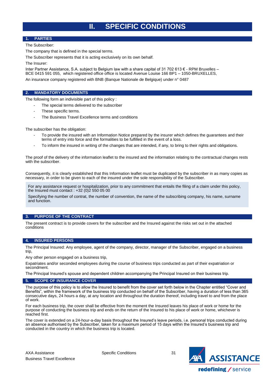# **II. SPECIFIC CONDITIONS**

## <span id="page-30-1"></span><span id="page-30-0"></span>**1. PARTIES**

The Subscriber:

The company that is defined in the special terms.

The Subscriber represents that it is acting exclusively on its own behalf.

The Insurer:

Inter Partner Assistance, S.A. subject to Belgium law with a share capital of 31 702 613 € - RPM Bruxelles – BCE 0415 591 055, which registered office office is located Avenue Louise 166 BP1 – 1050-BRUXELLES, An insurance company registered with BNB (Banque Nationale de Belgique) under n° 0487

## <span id="page-30-2"></span>**2. MANDATORY DOCUMENTS**

The following form an indivisible part of this policy :

- The special terms delivered to the subscriber
- These specific terms.
- The Business Travel Excellence terms and conditions

The subscriber has the obligation:

- To provide the insured with an Information Notice prepared by the insurer which defines the guarantees and their terms of entry into force and the formalities to be fulfilled in the event of a loss.
- To inform the insured in writing of the changes that are intended, if any, to bring to their rights and obligations.

The proof of the delivery of the information leaflet to the insured and the information relating to the contractual changes rests with the subscriber.

Consequently, it is clearly established that this Information leaflet must be duplicated by the subscriber in as many copies as necessary, in order to be given to each of the insured under the sole responsibility of the Subscriber.

For any assistance request or hospitalization, prior to any commitment that entails the filing of a claim under this policy, the Insured must contact : +32 (0)2 550 05 00

Specifying the number of contrat, the number of convention, the name of the subscribing company, his name, surname and function.

## <span id="page-30-3"></span>**3. PURPOSE OF THE CONTRACT**

The present contract is to provide covers for the subscriber and the Insured against the risks set out in the attached conditions

## <span id="page-30-4"></span>**4. INSURED PERSONS**

The Principal Insured: Any employee, agent of the company, director, manager of the Subscriber, engaged on a business trip,

Any other person engaged on a business trip,

Expatriates and/or seconded employees during the course of business trips conducted as part of their expatriation or secondment.

The Principal Insured's spouse and dependent children accompanying the Principal Insured on their business trip.

## <span id="page-30-5"></span>**5. SCOPE OF INSURANCE COVER**

The purpose of this policy is to allow the Insured to benefit from the cover set forth below in the Chapter entitled "Cover and Benefits", within the framework of the business trip conducted on behalf of the Subscriber, having a duration of less than 365 consecutive days, 24 hours a day, at any location and throughout the duration thereof, including travel to and from the place of work.

For each business trip, the cover shall be effective from the moment the Insured leaves his place of work or home for the purpose of conducting the business trip and ends on the return of the Insured to his place of work or home, whichever is reached first.

The cover is extended on a 24-hour-a-day basis throughout the Insured's leave periods, i.e. personal trips conducted during an absence authorised by the Subscriber, taken for a maximum period of 15 days within the Insured's business trip and conducted in the country in which the business trip is located.

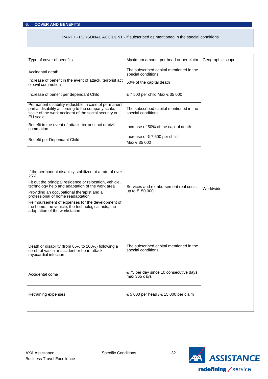# <span id="page-31-0"></span>**6. COVER AND BENEFITS**

## PART I.- PERSONAL ACCIDENT - if subscribed as mentioned in the special conditions

| Type of cover of benefits                                                                                                                                                                                                                                                                                                                                                                                   | Maximum amount per head or per claim                          | Geographic scope |
|-------------------------------------------------------------------------------------------------------------------------------------------------------------------------------------------------------------------------------------------------------------------------------------------------------------------------------------------------------------------------------------------------------------|---------------------------------------------------------------|------------------|
| Accidental death                                                                                                                                                                                                                                                                                                                                                                                            | The subscribed capital mentioned in the<br>special conditions |                  |
| Increase of benefit in the event of attack, terrorist act<br>or civil commotion                                                                                                                                                                                                                                                                                                                             | 50% of the capital death                                      |                  |
| Increase of benefit per dependant Child                                                                                                                                                                                                                                                                                                                                                                     | € 7 500 per child Max € 35 000                                |                  |
| Permanent disability reductible in case of permanent<br>partial disability according to the company scale,<br>scale of the work accident of the social security or<br>EU scale                                                                                                                                                                                                                              | The subscribed capital mentioned in the<br>special conditions |                  |
| Benefit in the event of attack, terrorist act or civil<br>commotion                                                                                                                                                                                                                                                                                                                                         | Increase of 50% of the capital death                          |                  |
| Benefit per Dependant Child                                                                                                                                                                                                                                                                                                                                                                                 | Increase of €7 500 per child<br>Max € 35 000                  |                  |
| If the permanent disability stabilized at a rate of over<br>25%:<br>Fit out the principal residence or relocation, vehicle,<br>technology help and adaptation of the work area<br>Providing an occupational therapist and a<br>professional of home readaptation<br>Reimbursement of expenses for the development of<br>the home, the vehicle, the technological aids, the<br>adaptation of the workstation | Services and reimbursement real costs<br>up to € 50 000       | Worldwide        |
| Death or disability (from 66% to 100%) following a<br>cerebral vascular accident or heart attack,<br>myocardial infection                                                                                                                                                                                                                                                                                   | The subscribed capital mentioned in the<br>special conditions |                  |
| Accidental coma                                                                                                                                                                                                                                                                                                                                                                                             | € 75 per day since 10 consecutive days<br>max 365 days        |                  |
| Retraining expenses                                                                                                                                                                                                                                                                                                                                                                                         | € 5 000 per head / € 15 000 per claim                         |                  |
|                                                                                                                                                                                                                                                                                                                                                                                                             |                                                               |                  |

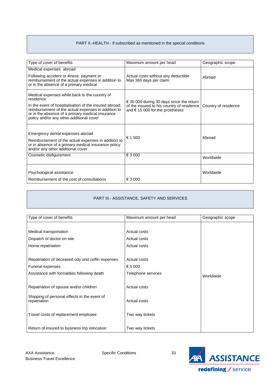# PART II.-HEALTH - if subscribed as mentioned in the special conditions

| Type of cover of benefits                                                                                                                                                                                                                                                    | Maximum amount per head                                                                                                                     | Geographic scope     |
|------------------------------------------------------------------------------------------------------------------------------------------------------------------------------------------------------------------------------------------------------------------------------|---------------------------------------------------------------------------------------------------------------------------------------------|----------------------|
| Medical expenses abroad<br>Following accident or illness: payment or<br>reimbursement of the actual expenses in addition to<br>or in the absence of a primary medical                                                                                                        | Actual costs without any deductible<br>Max 365 days per claim                                                                               | Abroad               |
| Medical expenses while back to the country of<br>residence:<br>In the event of hospitalisation of the insured abroad,<br>reimbursement of the actual expenses in addition to<br>or in the absence of a primary medical insurance<br>policy and/or any other additional cover | $\epsilon$ 30 000 during 30 days since the return<br>of the insured to his country of residence<br>and $\epsilon$ 15 000 for the prostheses | Country of residence |
| Emergency dental expenses abroad<br>Reimbursement of the actual expenses in addition to<br>or in absence of a primary medical insurance policy<br>and/or any other additional cover                                                                                          | € 1 500                                                                                                                                     | Abroad               |
| Cosmetic disfigurement                                                                                                                                                                                                                                                       | € 3 000                                                                                                                                     | Worldwide            |
| Psychological assistance<br>Reimbursement of the cost of consultations                                                                                                                                                                                                       | € 3 000                                                                                                                                     | Worldwide            |

# PART III.- ASSISTANCE, SAFETY AND SERVICES

| Type of cover of benefits                                    | Maximum amount per head | Geographic scope |
|--------------------------------------------------------------|-------------------------|------------------|
|                                                              |                         |                  |
| Medical transportation                                       | Actual costs            |                  |
| Dispatch of doctor on site                                   | Actual costs            |                  |
| Home repatriation                                            | Actual costs            |                  |
|                                                              |                         |                  |
| Repatriation of deceased ody and coffin expenses             | Actual costs            |                  |
| Funeral expenses                                             | € 5 000                 |                  |
| Assistance with formalities following death                  | Telephone services      | Worldwide        |
|                                                              |                         |                  |
| Repatriation of spouse and/or children                       | Actual costs            |                  |
|                                                              |                         |                  |
| Shipping of personal effects in the event of<br>repatriation | Actual costs            |                  |
|                                                              |                         |                  |
| Travel costs of replacement employee                         | Two way tickets         |                  |
|                                                              |                         |                  |
| Return of insured to business trip relocation                | Two way tickets         |                  |

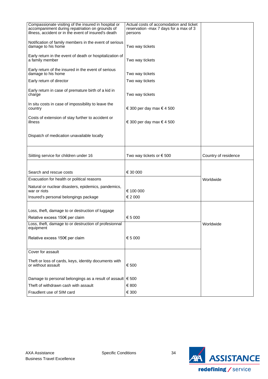| accompaniment during repatriation on grounds of<br>reservation -max 7 days for a max of 3<br>illness, accident or in the event of insured's death<br>persons |
|--------------------------------------------------------------------------------------------------------------------------------------------------------------|
|                                                                                                                                                              |
|                                                                                                                                                              |
| Notification of family members in the event of serious<br>damage to his home<br>Two way tickets                                                              |
| Early return in the event of death or hospitalization of                                                                                                     |
| a family member<br>Two way tickets                                                                                                                           |
| Early return of the insured in the event of serious                                                                                                          |
| damage to his home<br>Two way tickets                                                                                                                        |
| Early return of director<br>Two way tickets                                                                                                                  |
| Early return in case of premature birth of a kid in<br>Two way tickets<br>charge                                                                             |
| In situ costs in case of impossibility to leave the                                                                                                          |
| € 300 per day max $∈$ 4 500<br>country                                                                                                                       |
| Costs of extension of stay further to accident or<br>€ 300 per day max € 4 500<br>illness                                                                    |
|                                                                                                                                                              |
| Dispatch of medication unavailable locally                                                                                                                   |
|                                                                                                                                                              |
| Siitting service for children under 16<br>Two way tickets or $\epsilon$ 500<br>Country of residence                                                          |
|                                                                                                                                                              |
|                                                                                                                                                              |
| Search and rescue costs<br>€ 30 000                                                                                                                          |
| Evacuation for health or political reasons<br>Worldwide                                                                                                      |
| Natural or nuclear disasters, epidemics, pandemics,<br>war or riots<br>€ 100 000                                                                             |
| Insured's personal belongings package<br>€ 2 000                                                                                                             |
|                                                                                                                                                              |
| Loss, theft, damage to or destruction of luggage                                                                                                             |
| € 5 000<br>Relative excess 150€ per claim                                                                                                                    |
| Loss, theft, damage to or destruction of profesionnal<br>Worldwide<br>equipment                                                                              |
| € 5 000<br>Relative excess 150€ per claim                                                                                                                    |
|                                                                                                                                                              |
| Cover for assault                                                                                                                                            |
| Theft or loss of cards, keys, identity documents with                                                                                                        |
| or without assault<br>€ 500                                                                                                                                  |
| Damage to personal belongings as a result of assault $\in$ 500                                                                                               |
| Theft of withdrawn cash with assault<br>€ 800                                                                                                                |
| € 300<br>Fraudlent use of SIM card                                                                                                                           |

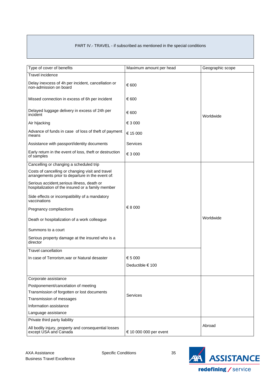# PART IV.- TRAVEL - if subscribed as mentioned in the special conditions

| Type of cover of benefits                                                                            | Maximum amount per head | Geographic scope |
|------------------------------------------------------------------------------------------------------|-------------------------|------------------|
| <b>Travel incidence</b>                                                                              |                         |                  |
| Delay inexcess of 4h per incident, cancellation or<br>non-admission on board                         | € 600                   |                  |
| Missed connection in excess of 6h per incident                                                       | € 600                   |                  |
| Delayed luggage delivery in excess of 24h per<br>incident                                            | € 600                   | Worldwide        |
| Air hijacking                                                                                        | € 3 000                 |                  |
| Advance of funds in case of loss of theft of payment<br>means                                        | € 15 000                |                  |
| Assistance with passport/identity documents                                                          | Services                |                  |
| Early return in the event of loss, theft or destruction<br>of samples                                | € 3 000                 |                  |
| Cancelling or changing a scheduled trip                                                              |                         |                  |
| Costs of cancelling or changing visit and travel<br>arrangements prior to departure in the event of: |                         |                  |
| Serious accident, serious illness, death or<br>hospitalization of the insured or a family member     |                         |                  |
| Side effects or incompatibility of a mandatory<br>vaccinations                                       |                         |                  |
| Pregnancy compliactions                                                                              | € 8 000                 |                  |
| Death or hospitalization of a work colleague                                                         |                         | Worldwide        |
| Summons to a court                                                                                   |                         |                  |
| Serious property damage at the insured who is a<br>director                                          |                         |                  |
| <b>Travel cancellation</b>                                                                           |                         |                  |
| In case of Terrorism, war or Natural desaster                                                        | € 5 000                 |                  |
|                                                                                                      | Deductible € 100        |                  |
|                                                                                                      |                         |                  |
| Corporate assistance                                                                                 |                         |                  |
| Postponement/cancelation of meeting                                                                  |                         |                  |
| Transmission of forgotten or lost documents                                                          | Services                |                  |
| Transmission of messages                                                                             |                         |                  |
| Information assistance                                                                               |                         |                  |
| Language assistance                                                                                  |                         |                  |
| Private third party liability                                                                        |                         |                  |
| All bodily injury, property and consequential losses<br>except USA and Canada                        | € 10 000 000 per event  | Abroad           |

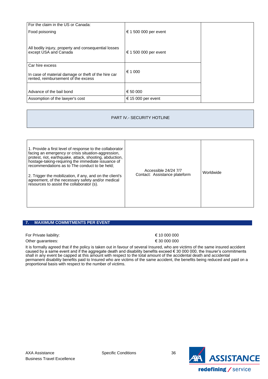| For the claim in the US or Canada:                                                         |                       |  |
|--------------------------------------------------------------------------------------------|-----------------------|--|
| Food poisoning                                                                             | € 1 500 000 per event |  |
|                                                                                            |                       |  |
| All bodily injury, property and consequential losses<br>except USA and Canada              | € 1 500 000 per event |  |
| Car hire excess                                                                            |                       |  |
| In case of material damage or theft of the hire car<br>rented, reimbursement of the excess | € 1 000               |  |
|                                                                                            |                       |  |
| Advance of the bail bond                                                                   | € 50 000              |  |
| Assomption of the lawyer's cost                                                            | € 15 000 per event    |  |

# PART IV.- SECURITY HOTLINE

| 1. Provide a first level of response to the collaborator<br>facing an emergency or crisis situation-aggression,<br>protest, riot, earthquake, attack, shooting, abduction,<br>hostage-taking-requiring the immediate issuance of<br>recommendations as to The conduct to be held;<br>2. Trigger the mobilization, if any, and on the client's<br>agreement, of the necessary safety and/or medical<br>resources to assist the collaborator (s). | Accessible 24/24 7/7<br>Contact: Assistance plateform | Worldwide |
|-------------------------------------------------------------------------------------------------------------------------------------------------------------------------------------------------------------------------------------------------------------------------------------------------------------------------------------------------------------------------------------------------------------------------------------------------|-------------------------------------------------------|-----------|
|-------------------------------------------------------------------------------------------------------------------------------------------------------------------------------------------------------------------------------------------------------------------------------------------------------------------------------------------------------------------------------------------------------------------------------------------------|-------------------------------------------------------|-----------|

## <span id="page-35-0"></span>**7. MAXIMUM COMMITMENTS PER EVENT**

For Private liability:  $\epsilon$  10 000 000

Other guarantees:  $630000000$ 

It is formally agreed that if the policy is taken out in favour of several Insured, who are victims of the same insured accident caused by a same event and if the aggregate death and disability benefits exceed € 30 000 000, the Insurer's commitments shall in any event be capped at this amount with respect to the total amount of the accidental death and accidental permanent disability benefits paid to Insured who are victims of the same accident, the benefits being reduced and paid on a proportional basis with respect to the number of victims.

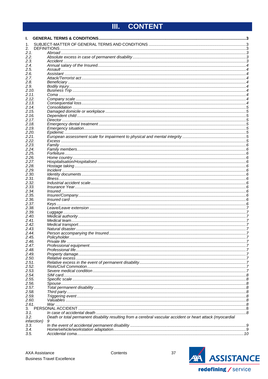#### <span id="page-36-0"></span>**CONTENT** III.

| ı.                  |                                                                                                             |  |
|---------------------|-------------------------------------------------------------------------------------------------------------|--|
| 1.                  |                                                                                                             |  |
| 2.<br>2.1.          |                                                                                                             |  |
| 2.2.                |                                                                                                             |  |
| 2.3.                |                                                                                                             |  |
| 2.4.                |                                                                                                             |  |
| 2.5.                |                                                                                                             |  |
| 2.6.                |                                                                                                             |  |
| 2.7.<br>2.8.        |                                                                                                             |  |
| 2.9.                |                                                                                                             |  |
| 2.10.               |                                                                                                             |  |
| 2.11.               |                                                                                                             |  |
| 2.12.               |                                                                                                             |  |
| 2.13.<br>2.14.      |                                                                                                             |  |
| 2.15.               |                                                                                                             |  |
| 2.16.               |                                                                                                             |  |
| 2.17.               |                                                                                                             |  |
| 2.18.               |                                                                                                             |  |
| 2.19.<br>2.20.      |                                                                                                             |  |
| 2.21.               |                                                                                                             |  |
| 2.22.               |                                                                                                             |  |
| 2.23.               |                                                                                                             |  |
| 2.24.               |                                                                                                             |  |
| 2.25.<br>2.26.      |                                                                                                             |  |
| 2.27.               |                                                                                                             |  |
| 2.28.               |                                                                                                             |  |
| 2.29.               |                                                                                                             |  |
| 2.30.               |                                                                                                             |  |
| 2.31.               |                                                                                                             |  |
| 2.32.<br>2.33.      |                                                                                                             |  |
| 2.34.               |                                                                                                             |  |
| 2.35.               |                                                                                                             |  |
| 2.36.               |                                                                                                             |  |
| 2.37.<br>2.38.      |                                                                                                             |  |
| 2.39.               |                                                                                                             |  |
| 2.40.               |                                                                                                             |  |
| 2.41.               |                                                                                                             |  |
| 2.42.               |                                                                                                             |  |
| 2.43.<br>2.44.      |                                                                                                             |  |
| 2.45.               |                                                                                                             |  |
| 2.46.               |                                                                                                             |  |
| 2.47.               |                                                                                                             |  |
| 2.48.               |                                                                                                             |  |
| 2.49.<br>2.50.      |                                                                                                             |  |
| 2.51.               |                                                                                                             |  |
| 2.52.               |                                                                                                             |  |
| 2.53.               |                                                                                                             |  |
| 2.54.               |                                                                                                             |  |
| 2.55.<br>2.56.      |                                                                                                             |  |
| 2.57.               |                                                                                                             |  |
| 2.58.               |                                                                                                             |  |
| 2.59.               |                                                                                                             |  |
| 2.60.               |                                                                                                             |  |
| 2.61.<br>3.         |                                                                                                             |  |
| 3.1.                |                                                                                                             |  |
| 3.2.                | Death or total permanent disability resulting from a cerebral vascular accident or heart attack (myocardial |  |
| <i>infarction</i> ) | 9                                                                                                           |  |
| 3.3.<br>3.4.        |                                                                                                             |  |
| 3.5.                |                                                                                                             |  |
|                     |                                                                                                             |  |

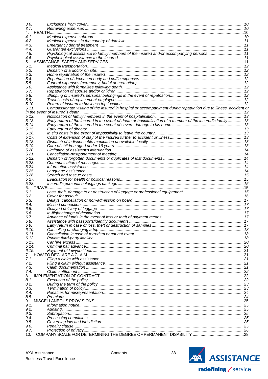| 3.6.           |                                                                                                                    |  |
|----------------|--------------------------------------------------------------------------------------------------------------------|--|
| 3.7.           |                                                                                                                    |  |
|                |                                                                                                                    |  |
| 4.1.           |                                                                                                                    |  |
| 4.2.<br>4.3.   |                                                                                                                    |  |
| 4.4.           |                                                                                                                    |  |
| 4.5.           | Psychological assistance to family members of the insured and/or accompanying persons11                            |  |
| 4.6.           |                                                                                                                    |  |
| 5.             |                                                                                                                    |  |
| 5.1.           |                                                                                                                    |  |
| 5.2.           |                                                                                                                    |  |
| 5.3.           |                                                                                                                    |  |
| 5.4.           |                                                                                                                    |  |
| 5.5.           |                                                                                                                    |  |
| 5.6.           |                                                                                                                    |  |
| 5.7.           |                                                                                                                    |  |
| 5.8.           |                                                                                                                    |  |
| 5.9.           |                                                                                                                    |  |
| 5.10.          |                                                                                                                    |  |
| 5.11.          | Compassionate visiting of the insured in hospital or accompaniment during repatriation due to illness, accident or |  |
|                |                                                                                                                    |  |
| 5.12.<br>5.13. | Early return of the insured in the event of death or hospitalisation of a member of the insured's family  13       |  |
| 5.14.          |                                                                                                                    |  |
| 5.15.          |                                                                                                                    |  |
| 5.16.          |                                                                                                                    |  |
| 5.17.          |                                                                                                                    |  |
| 5.18.          |                                                                                                                    |  |
| 5.19.          |                                                                                                                    |  |
| 5.20.          |                                                                                                                    |  |
| 5.21.          |                                                                                                                    |  |
| 5.22.          |                                                                                                                    |  |
| 5.23.          |                                                                                                                    |  |
| 5.24.          |                                                                                                                    |  |
| 5.25.          |                                                                                                                    |  |
| 5.26.          |                                                                                                                    |  |
| 5.27.          |                                                                                                                    |  |
| 5.28.          |                                                                                                                    |  |
| 6.1.           |                                                                                                                    |  |
| 6.2.           |                                                                                                                    |  |
| 6.3.           |                                                                                                                    |  |
| 6.4.           |                                                                                                                    |  |
| 6.5.           |                                                                                                                    |  |
| 6.6.           |                                                                                                                    |  |
| 6.7.           |                                                                                                                    |  |
| 6.8.           |                                                                                                                    |  |
| 6.9.           |                                                                                                                    |  |
| 6.10.          |                                                                                                                    |  |
| 6.11.          |                                                                                                                    |  |
| 6.12.          |                                                                                                                    |  |
| 6.13.          |                                                                                                                    |  |
| 6.14.          |                                                                                                                    |  |
| 6.15.          |                                                                                                                    |  |
| 7.<br>7.1.     |                                                                                                                    |  |
| 7.2.           |                                                                                                                    |  |
| 7.3.           |                                                                                                                    |  |
| 7.4.           |                                                                                                                    |  |
| 8.             |                                                                                                                    |  |
| 8.1.           |                                                                                                                    |  |
| 8.2.           |                                                                                                                    |  |
| 8.3.           |                                                                                                                    |  |
| 8.4.           |                                                                                                                    |  |
| 8.5.           |                                                                                                                    |  |
| 9.             |                                                                                                                    |  |
| 9.1.           |                                                                                                                    |  |
| 9.2.           |                                                                                                                    |  |
| 9.3.           |                                                                                                                    |  |
| 9.4.<br>9.5.   |                                                                                                                    |  |
|                |                                                                                                                    |  |
|                |                                                                                                                    |  |
| 9.6.<br>9.7.   |                                                                                                                    |  |

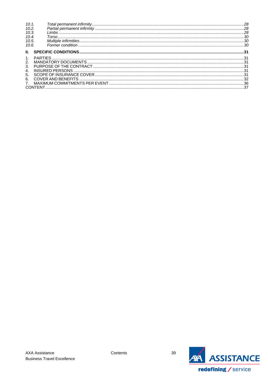| 10.1. |  |
|-------|--|
| 10.2. |  |
| 10.3. |  |
| 10.4. |  |
| 10.5. |  |
| 10.6. |  |
|       |  |
|       |  |
| 2.    |  |
| 3.    |  |
| 4.    |  |
| 5.    |  |
| 6.    |  |
|       |  |
|       |  |